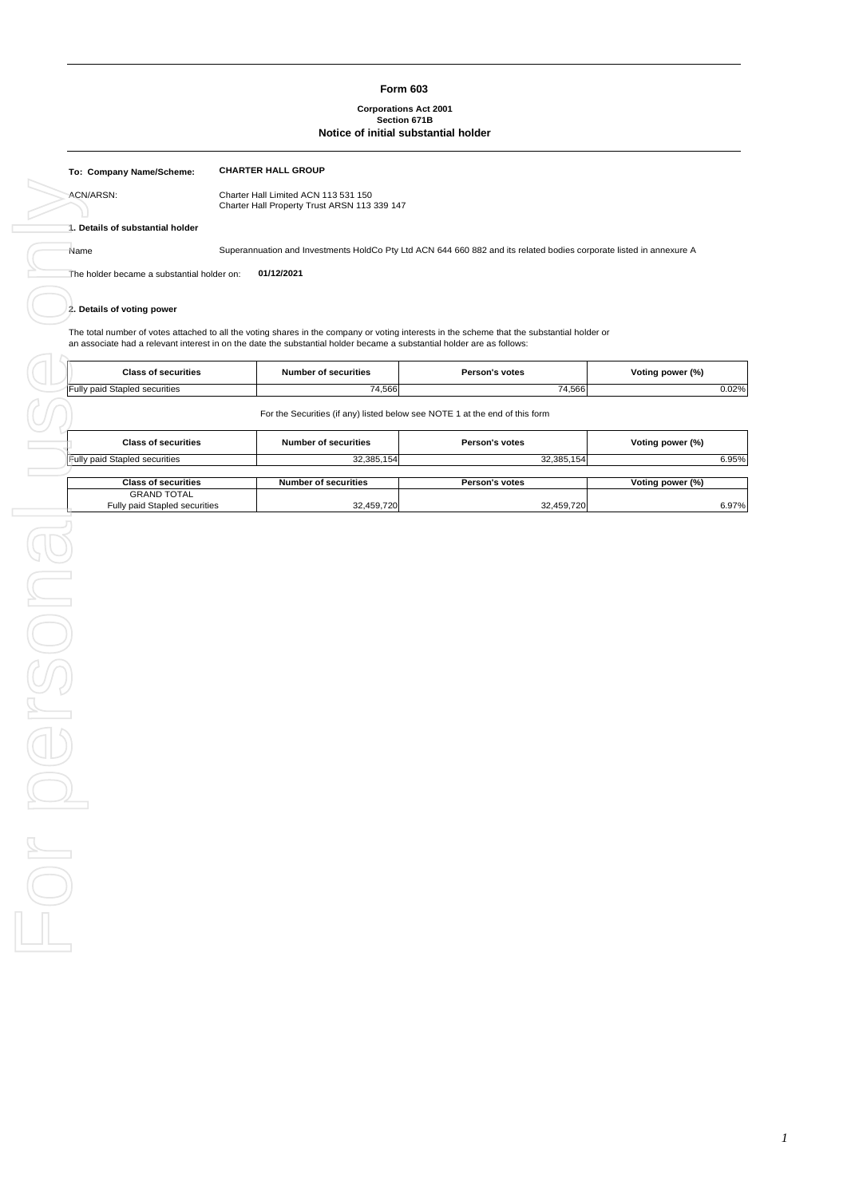# **Form 603**

#### **Corporations Act 2001 Section 671B Notice of initial substantial holder**

|                                    | <b>CHARTER HALL GROUP</b>                                                                                                   |                                                                                                                                                                                                                                                                       |                                                                             |                  |  |  |  |  |
|------------------------------------|-----------------------------------------------------------------------------------------------------------------------------|-----------------------------------------------------------------------------------------------------------------------------------------------------------------------------------------------------------------------------------------------------------------------|-----------------------------------------------------------------------------|------------------|--|--|--|--|
|                                    | To: Company Name/Scheme:                                                                                                    |                                                                                                                                                                                                                                                                       |                                                                             |                  |  |  |  |  |
|                                    | Charter Hall Limited ACN 113 531 150<br>ACN/ARSN:                                                                           |                                                                                                                                                                                                                                                                       |                                                                             |                  |  |  |  |  |
|                                    | Charter Hall Property Trust ARSN 113 339 147                                                                                |                                                                                                                                                                                                                                                                       |                                                                             |                  |  |  |  |  |
|                                    | 1. Details of substantial holder                                                                                            |                                                                                                                                                                                                                                                                       |                                                                             |                  |  |  |  |  |
|                                    | Superannuation and Investments HoldCo Pty Ltd ACN 644 660 882 and its related bodies corporate listed in annexure A<br>Name |                                                                                                                                                                                                                                                                       |                                                                             |                  |  |  |  |  |
|                                    | The holder became a substantial holder on:                                                                                  | 01/12/2021                                                                                                                                                                                                                                                            |                                                                             |                  |  |  |  |  |
|                                    |                                                                                                                             |                                                                                                                                                                                                                                                                       |                                                                             |                  |  |  |  |  |
|                                    | 2. Details of voting power                                                                                                  |                                                                                                                                                                                                                                                                       |                                                                             |                  |  |  |  |  |
|                                    |                                                                                                                             | The total number of votes attached to all the voting shares in the company or voting interests in the scheme that the substantial holder or<br>an associate had a relevant interest in on the date the substantial holder became a substantial holder are as follows: |                                                                             |                  |  |  |  |  |
|                                    | <b>Class of securities</b>                                                                                                  | <b>Number of securities</b>                                                                                                                                                                                                                                           | Person's votes                                                              | Voting power (%) |  |  |  |  |
|                                    | Fully paid Stapled securities                                                                                               | 74,566                                                                                                                                                                                                                                                                | 74,566                                                                      | 0.02%            |  |  |  |  |
|                                    |                                                                                                                             |                                                                                                                                                                                                                                                                       | For the Securities (if any) listed below see NOTE 1 at the end of this form |                  |  |  |  |  |
|                                    | <b>Class of securities</b>                                                                                                  | <b>Number of securities</b>                                                                                                                                                                                                                                           | Person's votes                                                              | Voting power (%) |  |  |  |  |
|                                    |                                                                                                                             |                                                                                                                                                                                                                                                                       |                                                                             |                  |  |  |  |  |
|                                    | Fully paid Stapled securities                                                                                               | 32,385,154                                                                                                                                                                                                                                                            | 32,385,154                                                                  | 6.95%            |  |  |  |  |
|                                    | <b>Class of securities</b>                                                                                                  | <b>Number of securities</b>                                                                                                                                                                                                                                           | Person's votes                                                              | Voting power (%) |  |  |  |  |
|                                    | <b>GRAND TOTAL</b><br>Fully paid Stapled securities                                                                         | 32,459,720                                                                                                                                                                                                                                                            | 32,459,720                                                                  | 6.97%            |  |  |  |  |
|                                    |                                                                                                                             |                                                                                                                                                                                                                                                                       |                                                                             |                  |  |  |  |  |
|                                    |                                                                                                                             |                                                                                                                                                                                                                                                                       |                                                                             |                  |  |  |  |  |
|                                    |                                                                                                                             |                                                                                                                                                                                                                                                                       |                                                                             |                  |  |  |  |  |
|                                    |                                                                                                                             |                                                                                                                                                                                                                                                                       |                                                                             |                  |  |  |  |  |
|                                    |                                                                                                                             |                                                                                                                                                                                                                                                                       |                                                                             |                  |  |  |  |  |
| $\overline{\underline{\subseteq}}$ |                                                                                                                             |                                                                                                                                                                                                                                                                       |                                                                             |                  |  |  |  |  |
|                                    |                                                                                                                             |                                                                                                                                                                                                                                                                       |                                                                             |                  |  |  |  |  |
|                                    |                                                                                                                             |                                                                                                                                                                                                                                                                       |                                                                             |                  |  |  |  |  |
|                                    |                                                                                                                             |                                                                                                                                                                                                                                                                       |                                                                             |                  |  |  |  |  |
|                                    |                                                                                                                             |                                                                                                                                                                                                                                                                       |                                                                             |                  |  |  |  |  |
| $\overline{\mathcal{D}}$           |                                                                                                                             |                                                                                                                                                                                                                                                                       |                                                                             |                  |  |  |  |  |
|                                    |                                                                                                                             |                                                                                                                                                                                                                                                                       |                                                                             |                  |  |  |  |  |
|                                    |                                                                                                                             |                                                                                                                                                                                                                                                                       |                                                                             |                  |  |  |  |  |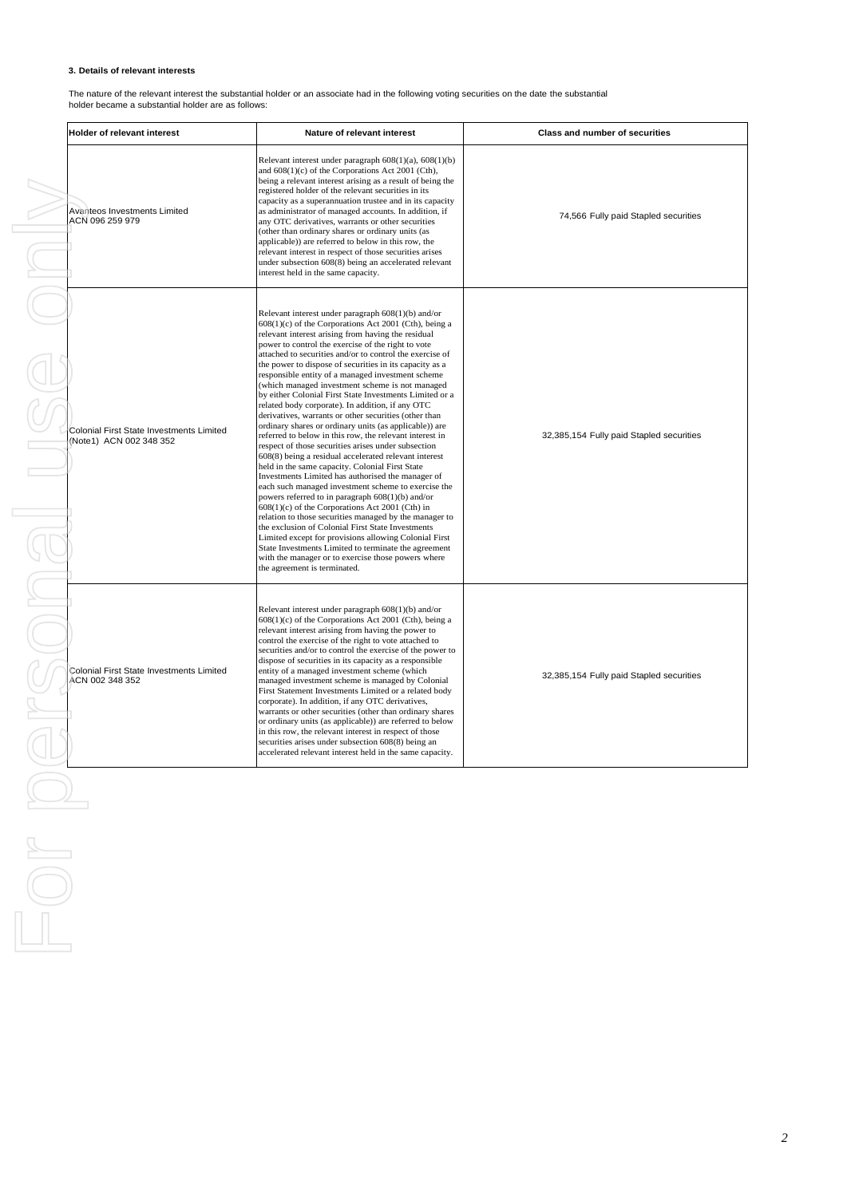#### **3. Details of relevant interests**

The nature of the relevant interest the substantial holder or an associate had in the following voting securities on the date the substantial holder became a substantial holder are as follows:

| <b>Holder of relevant interest</b>                                   | Nature of relevant interest                                                                                                                                                                                                                                                                                                                                                                                                                                                                                                                                                                                                                                                                                                                                                                                                                                                                                                                                                                                                                                                                                                                                                                                                                                                                                                                                                                                                                                           | Class and number of securities           |
|----------------------------------------------------------------------|-----------------------------------------------------------------------------------------------------------------------------------------------------------------------------------------------------------------------------------------------------------------------------------------------------------------------------------------------------------------------------------------------------------------------------------------------------------------------------------------------------------------------------------------------------------------------------------------------------------------------------------------------------------------------------------------------------------------------------------------------------------------------------------------------------------------------------------------------------------------------------------------------------------------------------------------------------------------------------------------------------------------------------------------------------------------------------------------------------------------------------------------------------------------------------------------------------------------------------------------------------------------------------------------------------------------------------------------------------------------------------------------------------------------------------------------------------------------------|------------------------------------------|
| Avanteos Investments Limited<br>ACN 096 259 979                      | Relevant interest under paragraph $608(1)(a)$ , $608(1)(b)$<br>and $608(1)(c)$ of the Corporations Act 2001 (Cth),<br>being a relevant interest arising as a result of being the<br>registered holder of the relevant securities in its<br>capacity as a superannuation trustee and in its capacity<br>as administrator of managed accounts. In addition, if<br>any OTC derivatives, warrants or other securities<br>(other than ordinary shares or ordinary units (as<br>applicable)) are referred to below in this row, the<br>relevant interest in respect of those securities arises<br>under subsection 608(8) being an accelerated relevant<br>interest held in the same capacity.                                                                                                                                                                                                                                                                                                                                                                                                                                                                                                                                                                                                                                                                                                                                                                              | 74,566 Fully paid Stapled securities     |
| Colonial First State Investments Limited<br>(Note 1) ACN 002 348 352 | Relevant interest under paragraph $608(1)(b)$ and/or<br>$608(1)(c)$ of the Corporations Act 2001 (Cth), being a<br>relevant interest arising from having the residual<br>power to control the exercise of the right to vote<br>attached to securities and/or to control the exercise of<br>the power to dispose of securities in its capacity as a<br>responsible entity of a managed investment scheme<br>(which managed investment scheme is not managed<br>by either Colonial First State Investments Limited or a<br>related body corporate). In addition, if any OTC<br>derivatives, warrants or other securities (other than<br>ordinary shares or ordinary units (as applicable)) are<br>referred to below in this row, the relevant interest in<br>respect of those securities arises under subsection<br>608(8) being a residual accelerated relevant interest<br>held in the same capacity. Colonial First State<br>Investments Limited has authorised the manager of<br>each such managed investment scheme to exercise the<br>powers referred to in paragraph 608(1)(b) and/or<br>$608(1)(c)$ of the Corporations Act 2001 (Cth) in<br>relation to those securities managed by the manager to<br>the exclusion of Colonial First State Investments<br>Limited except for provisions allowing Colonial First<br>State Investments Limited to terminate the agreement<br>with the manager or to exercise those powers where<br>the agreement is terminated. | 32,385,154 Fully paid Stapled securities |
| <b>Colonial First State Investments Limited</b><br>ACN 002 348 352   | Relevant interest under paragraph $608(1)(b)$ and/or<br>$608(1)(c)$ of the Corporations Act 2001 (Cth), being a<br>relevant interest arising from having the power to<br>control the exercise of the right to vote attached to<br>securities and/or to control the exercise of the power to<br>dispose of securities in its capacity as a responsible<br>entity of a managed investment scheme (which<br>managed investment scheme is managed by Colonial<br>First Statement Investments Limited or a related body<br>corporate). In addition, if any OTC derivatives,<br>warrants or other securities (other than ordinary shares<br>or ordinary units (as applicable)) are referred to below<br>in this row, the relevant interest in respect of those<br>securities arises under subsection 608(8) being an<br>accelerated relevant interest held in the same capacity.                                                                                                                                                                                                                                                                                                                                                                                                                                                                                                                                                                                            | 32,385,154 Fully paid Stapled securities |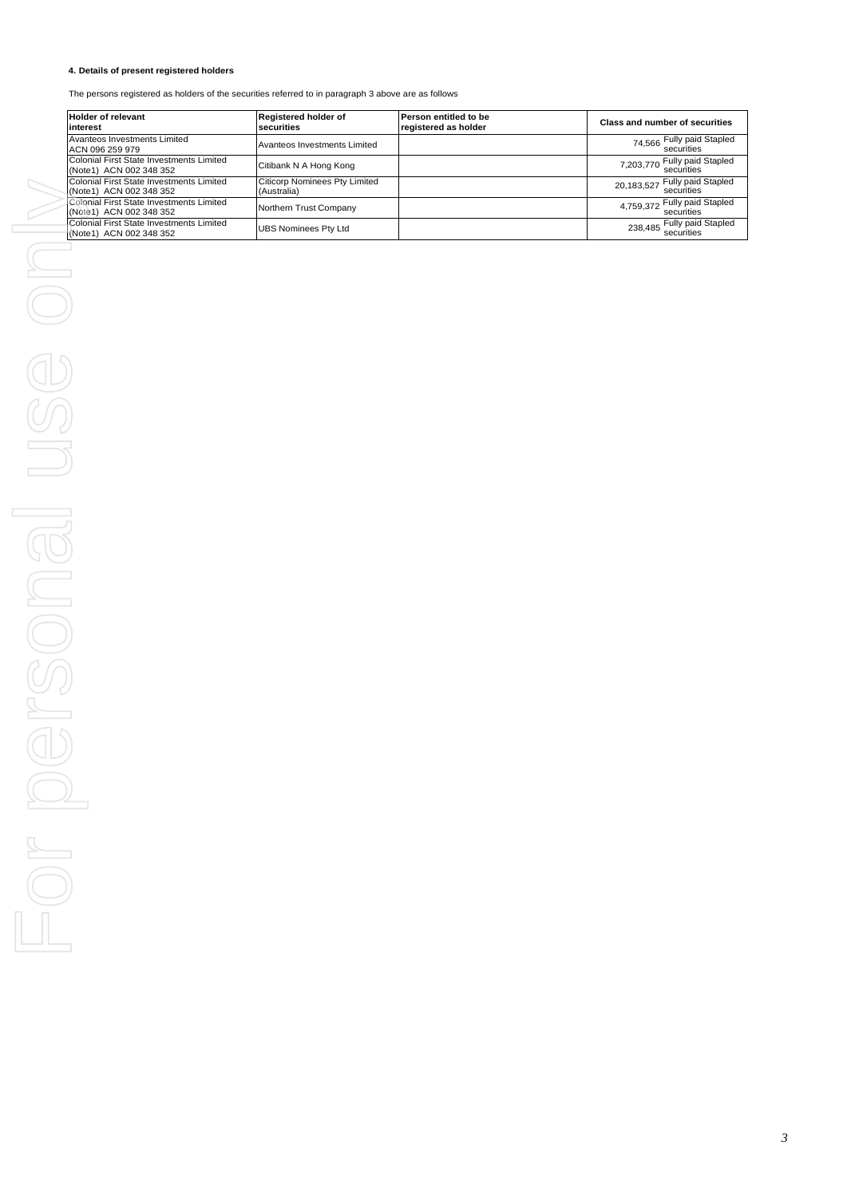## **4. Details of present registered holders**

The persons registered as holders of the securities referred to in paragraph 3 above are as follows

| <b>Holder of relevant</b><br>interest                                       | Registered holder of<br>securities                  | Person entitled to be<br>registered as holder | Class and number of securities              |
|-----------------------------------------------------------------------------|-----------------------------------------------------|-----------------------------------------------|---------------------------------------------|
| Avanteos Investments Limited<br>ACN 096 259 979                             | Avanteos Investments Limited                        |                                               | 74,566 Fully paid Stapled<br>securities     |
| <b>Colonial First State Investments Limited</b><br>(Note 1) ACN 002 348 352 | Citibank N A Hong Kong                              |                                               | 7,203,770 Fully paid Stapled                |
| <b>Colonial First State Investments Limited</b><br>(Note 1) ACN 002 348 352 | <b>Citicorp Nominees Pty Limited</b><br>(Australia) |                                               | 20,183,527 Fully paid Stapled<br>securities |
| <b>Colonial First State Investments Limited</b><br>(Note 1) ACN 002 348 352 | Northern Trust Company                              |                                               | 4,759,372 Fully paid Stapled                |
| <b>Colonial First State Investments Limited</b><br>(Note 1) ACN 002 348 352 | <b>UBS Nominees Pty Ltd</b>                         |                                               | 238,485 Fully paid Stapled                  |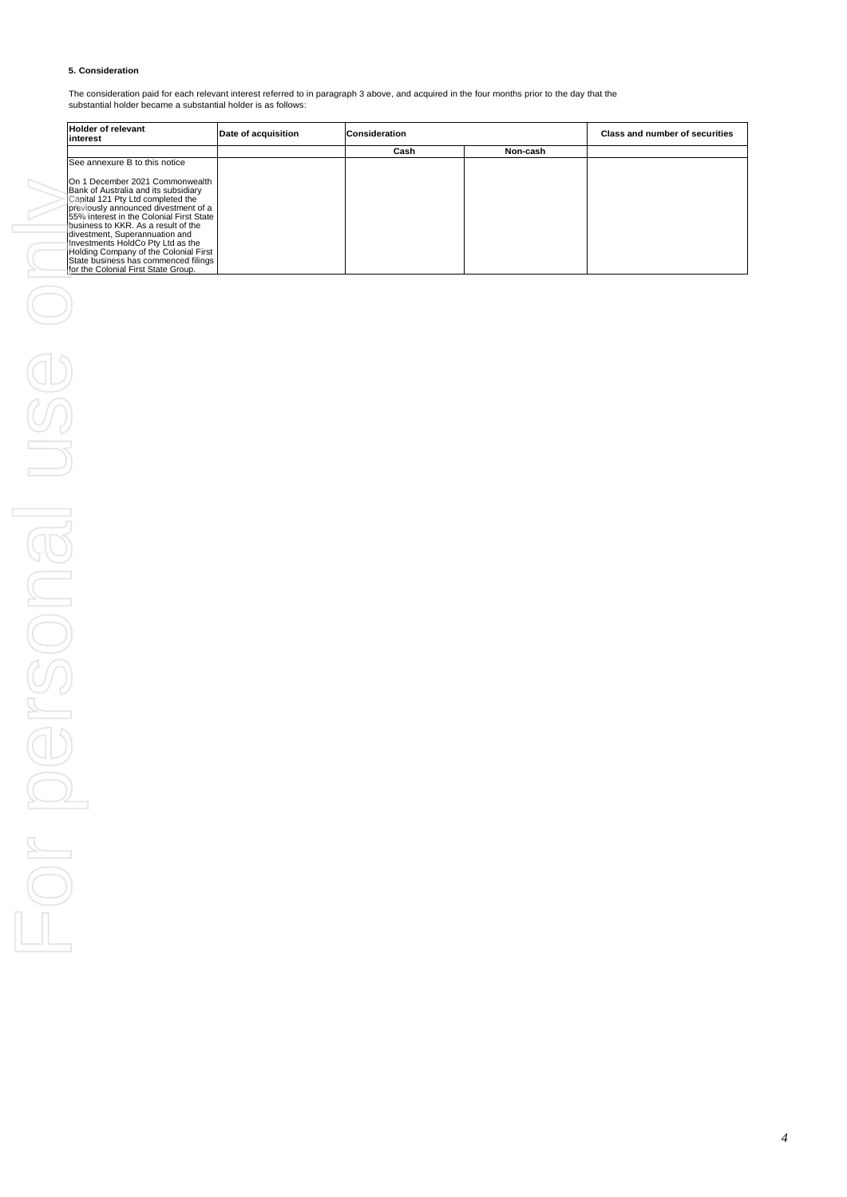### **5. Consideration**

The consideration paid for each relevant interest referred to in paragraph 3 above, and acquired in the four months prior to the day that the substantial holder became a substantial holder is as follows:

| <b>Holder of relevant</b><br>interest                                                                                                                                                                                                                                                                                                                                                                                                  | Date of acquisition | Consideration |          | Class and number of securities |
|----------------------------------------------------------------------------------------------------------------------------------------------------------------------------------------------------------------------------------------------------------------------------------------------------------------------------------------------------------------------------------------------------------------------------------------|---------------------|---------------|----------|--------------------------------|
|                                                                                                                                                                                                                                                                                                                                                                                                                                        |                     | Cash          | Non-cash |                                |
| See annexure B to this notice                                                                                                                                                                                                                                                                                                                                                                                                          |                     |               |          |                                |
| On 1 December 2021 Commonwealth<br>Bank of Australia and its subsidiary<br>Capital 121 Pty Ltd completed the<br>previously announced divestment of a<br>55% interest in the Colonial First State<br>business to KKR. As a result of the<br>divestment, Superannuation and<br>Investments HoldCo Pty Ltd as the<br>Holding Company of the Colonial First<br>State business has commenced filings<br>for the Colonial First State Group. |                     |               |          |                                |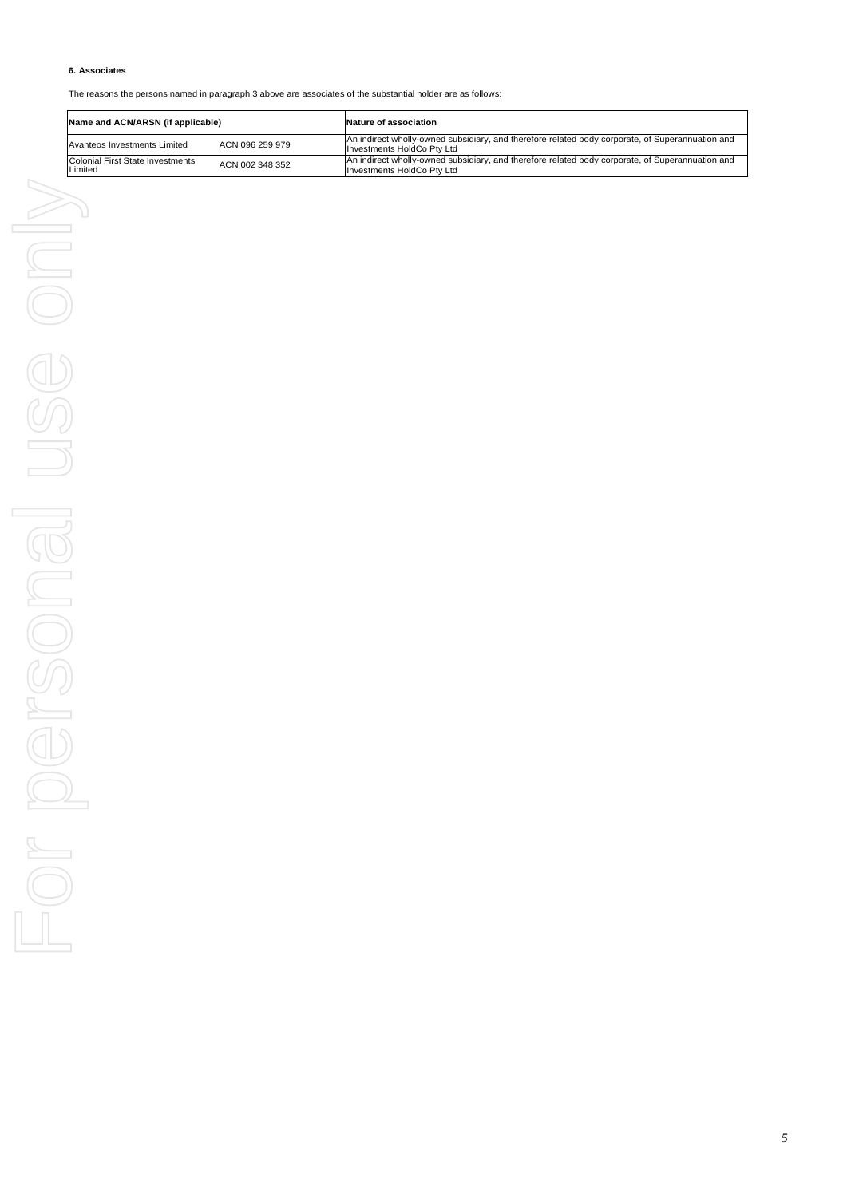### **6. Associates**

The reasons the persons named in paragraph 3 above are associates of the substantial holder are as follows:

| Name and ACN/ARSN (if applicable)                  |                 | Nature of association                                                                                                          |
|----------------------------------------------------|-----------------|--------------------------------------------------------------------------------------------------------------------------------|
| Avanteos Investments Limited                       | ACN 096 259 979 | An indirect wholly-owned subsidiary, and therefore related body corporate, of Superannuation and<br>Investments HoldCo Pty Ltd |
| <b>Colonial First State Investments</b><br>Limited | ACN 002 348 352 | An indirect wholly-owned subsidiary, and therefore related body corporate, of Superannuation and<br>Investments HoldCo Pty Ltd |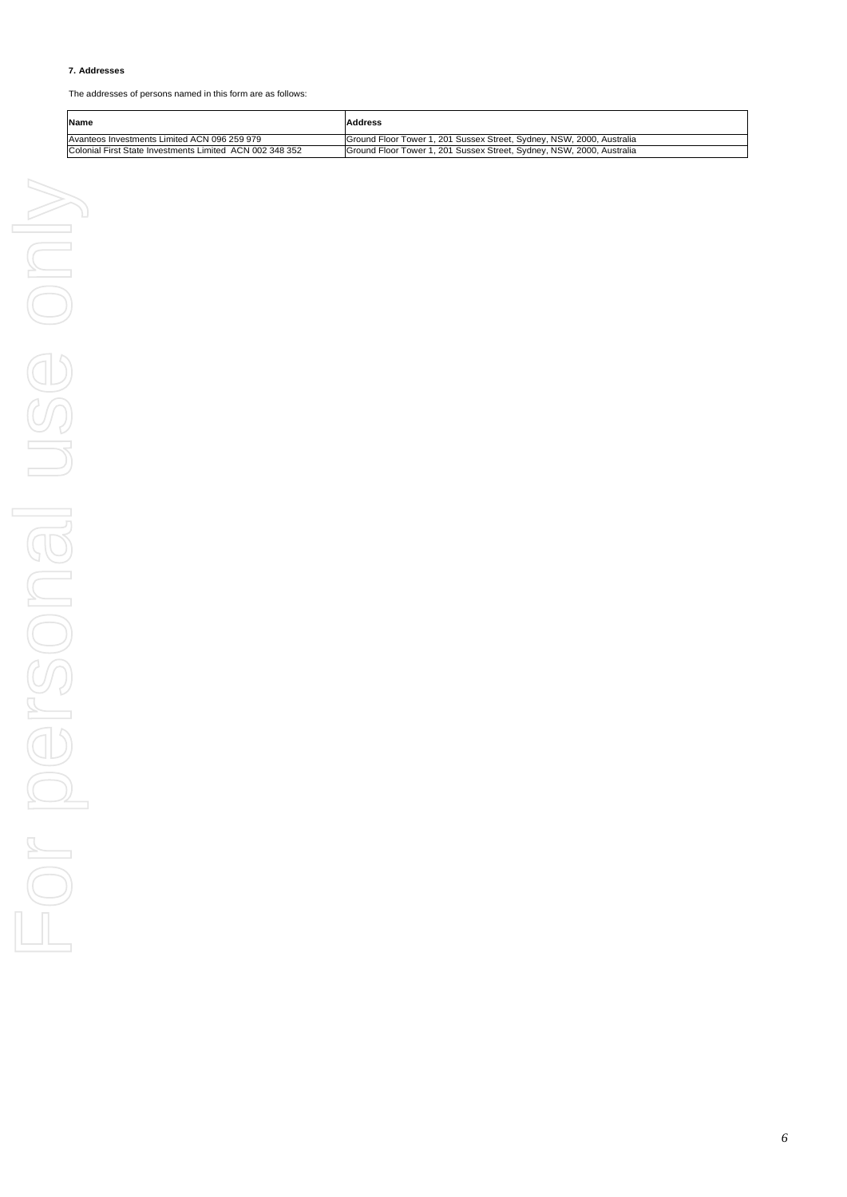### **7. Addresses**

The addresses of persons named in this form are as follows:

| <b>Name</b>                                              | <b>Address</b>                                                        |
|----------------------------------------------------------|-----------------------------------------------------------------------|
| Avanteos Investments Limited ACN 096 259 979             | Ground Floor Tower 1, 201 Sussex Street, Sydney, NSW, 2000, Australia |
| Colonial First State Investments Limited ACN 002 348 352 | Ground Floor Tower 1, 201 Sussex Street, Sydney, NSW, 2000, Australia |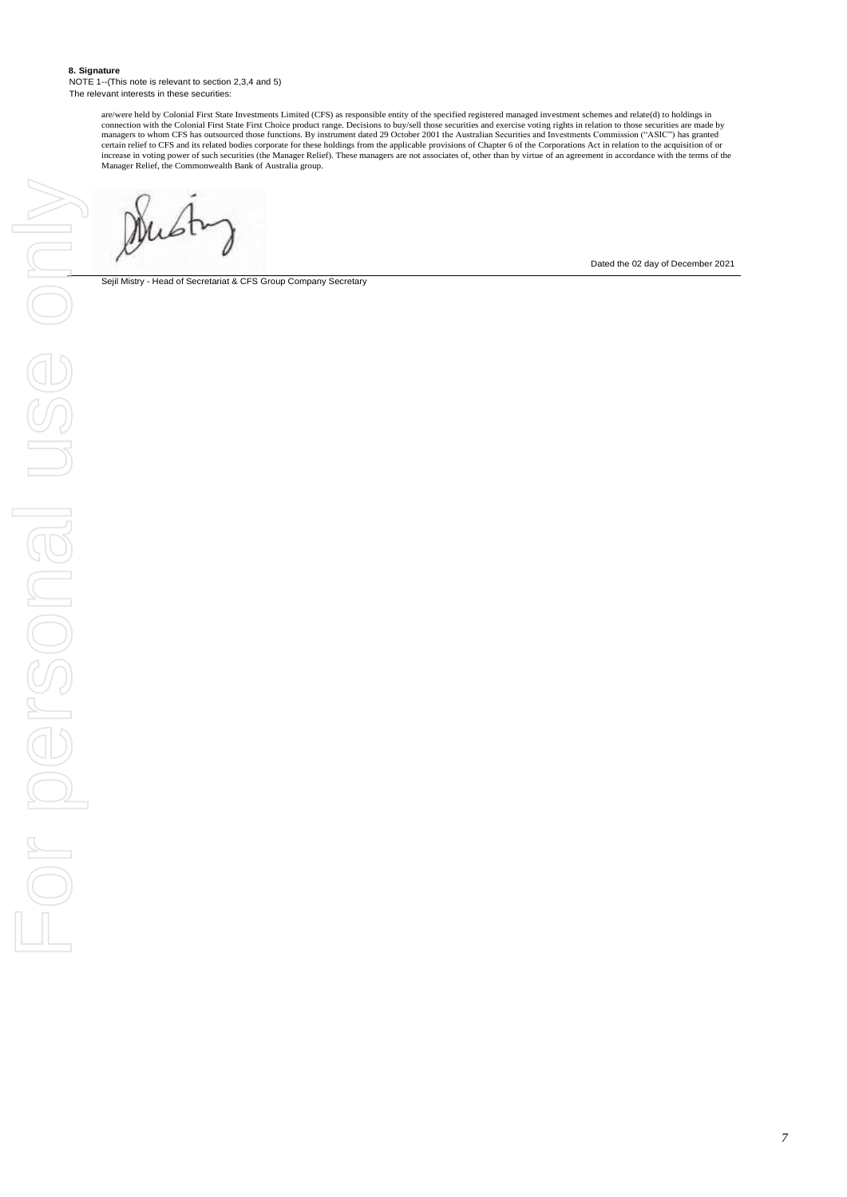#### **8. Signature** NOTE 1--(This note is relevant to section 2,3,4 and 5) The relevant interests in these securities:

are/were held by Colonial First State Investments Limited (CFS) as responsible entity of the specified registered managed investment schemes and relate(d) to holdings in connection with the Colonial First State First Choice product range. Decisions to buy/sell those securities and exercise voting rights in relation to those securities are made by managers to whom CFS has outsourced those f Manager Relief, the Commonwealth Bank of Australia group.

Sejil Mistry - Head of Secretariat & CFS Group Company Secretary

Dated the 02 day of December 2021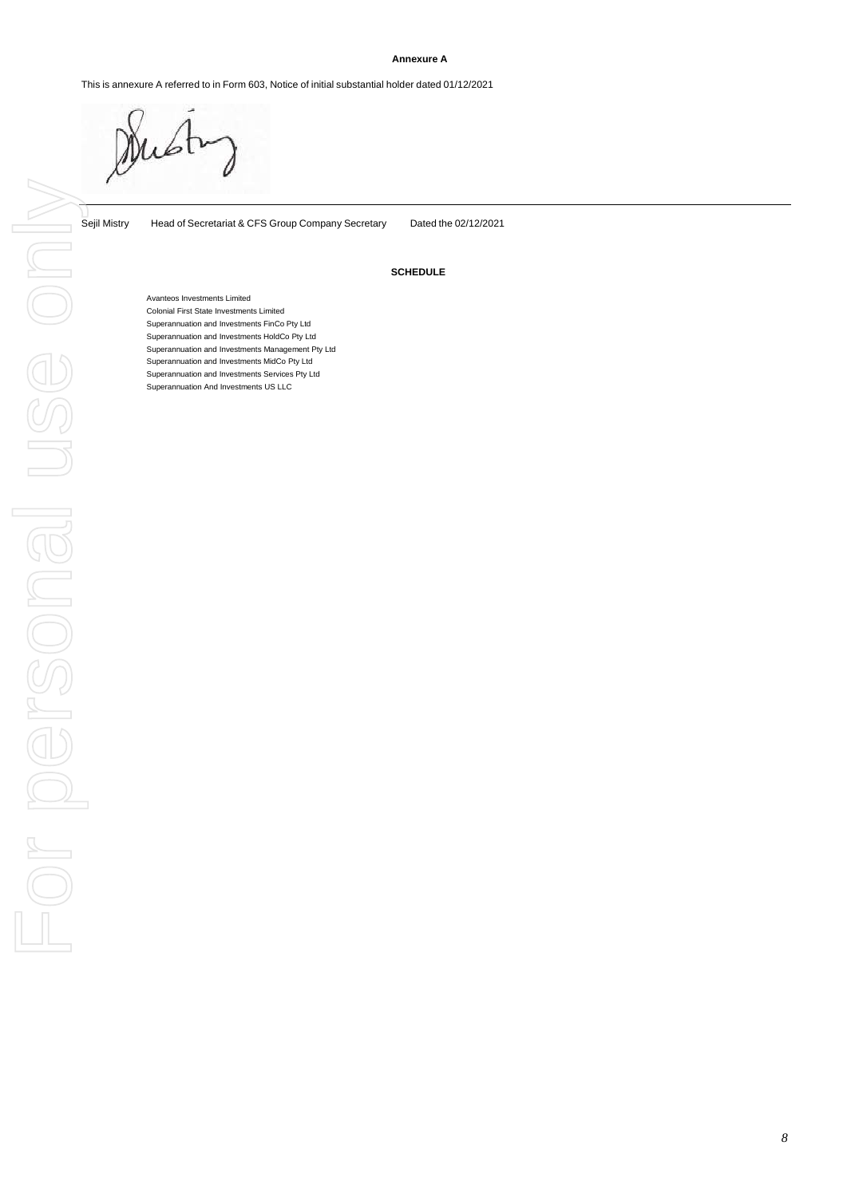#### **Annexure A**

This is annexure A referred to in Form 603, Notice of initial substantial holder dated 01/12/2021

Sejil Mistry Head of Secretariat & CFS Group Company Secretary Dated the 02/12/2021

# **SCHEDULE**

Avanteos Investments Limited Colonial First State Investments Limited Superannuation and Investments FinCo Pty Ltd Superannuation and Investments HoldCo Pty Ltd Superannuation and Investments Management Pty Ltd Superannuation and Investments MidCo Pty Ltd Superannuation and Investments Services Pty Ltd Superannuation And Investments US LLC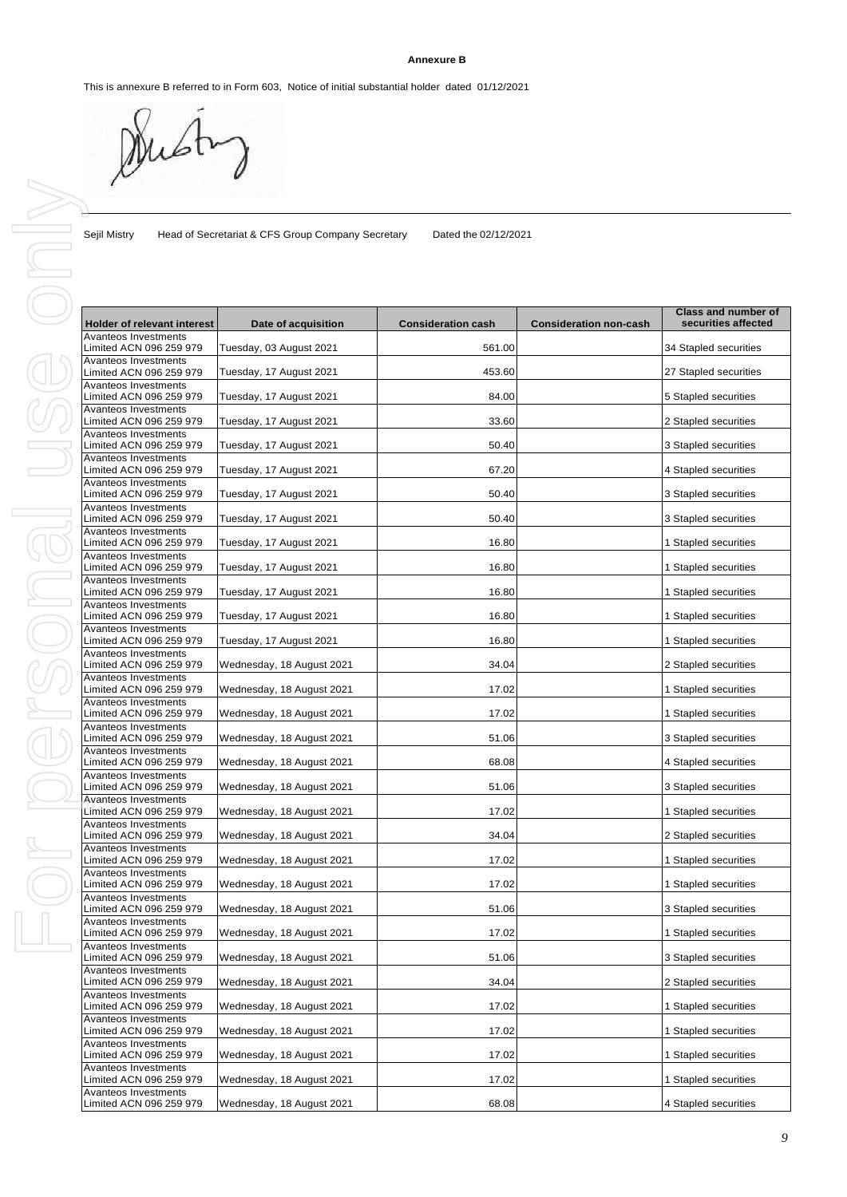# **Annexure B**

This is annexure B referred to in Form 603, Notice of initial substantial holder dated 01/12/2021

| Sejil Mistry<br>Head of Secretariat & CFS Group Company Secretary<br>Dated the 02/12/2021 |                           |                           |                               |                                            |  |  |
|-------------------------------------------------------------------------------------------|---------------------------|---------------------------|-------------------------------|--------------------------------------------|--|--|
| <b>Holder of relevant interest</b>                                                        | Date of acquisition       | <b>Consideration cash</b> | <b>Consideration non-cash</b> | Class and number of<br>securities affected |  |  |
| <b>Avanteos Investments</b><br>Limited ACN 096 259 979                                    | Tuesday, 03 August 2021   | 561.00                    |                               | 34 Stapled securities                      |  |  |
| Avanteos Investments<br>Limited ACN 096 259 979                                           | Tuesday, 17 August 2021   | 453.60                    |                               | 27 Stapled securities                      |  |  |
| Avanteos Investments<br>Limited ACN 096 259 979                                           | Tuesday, 17 August 2021   | 84.00                     |                               | 5 Stapled securities                       |  |  |
| Avanteos Investments<br>Limited ACN 096 259 979                                           | Tuesday, 17 August 2021   | 33.60                     |                               | 2 Stapled securities                       |  |  |
| Avanteos Investments<br>Limited ACN 096 259 979                                           | Tuesday, 17 August 2021   | 50.40                     |                               | 3 Stapled securities                       |  |  |
| Avanteos Investments<br>Limited ACN 096 259 979                                           | Tuesday, 17 August 2021   | 67.20                     |                               | 4 Stapled securities                       |  |  |
| <b>Avanteos Investments</b><br>Limited ACN 096 259 979                                    | Tuesday, 17 August 2021   | 50.40                     |                               | 3 Stapled securities                       |  |  |
| Avanteos Investments<br>Limited ACN 096 259 979                                           | Tuesday, 17 August 2021   | 50.40                     |                               | 3 Stapled securities                       |  |  |
| <b>Avanteos Investments</b><br>Limited ACN 096 259 979                                    | Tuesday, 17 August 2021   | 16.80                     |                               | 1 Stapled securities                       |  |  |
| Avanteos Investments<br>Limited ACN 096 259 979                                           | Tuesday, 17 August 2021   | 16.80                     |                               | 1 Stapled securities                       |  |  |
| Avanteos Investments<br>Limited ACN 096 259 979                                           | Tuesday, 17 August 2021   | 16.80                     |                               | 1 Stapled securities                       |  |  |
| Avanteos Investments<br>Limited ACN 096 259 979                                           | Tuesday, 17 August 2021   | 16.80                     |                               | 1 Stapled securities                       |  |  |
| Avanteos Investments<br>Limited ACN 096 259 979                                           | Tuesday, 17 August 2021   | 16.80                     |                               | 1 Stapled securities                       |  |  |
| Avanteos Investments<br>Limited ACN 096 259 979                                           | Wednesday, 18 August 2021 | 34.04                     |                               | 2 Stapled securities                       |  |  |
| Avanteos Investments<br>Limited ACN 096 259 979                                           | Wednesday, 18 August 2021 | 17.02                     |                               | 1 Stapled securities                       |  |  |
| Avanteos Investments<br>Limited ACN 096 259 979                                           | Wednesday, 18 August 2021 | 17.02                     |                               | 1 Stapled securities                       |  |  |
| Avanteos Investments<br>Limited ACN 096 259 979                                           | Wednesday, 18 August 2021 | 51.06                     |                               | 3 Stapled securities                       |  |  |
| Avanteos Investments<br>Limited ACN 096 259 979                                           | Wednesday, 18 August 2021 | 68.08                     |                               | 4 Stapled securities                       |  |  |
| Avanteos Investments<br>Limited ACN 096 259 979                                           | Wednesday, 18 August 2021 | 51.06                     |                               | 3 Stapled securities                       |  |  |
| <b>Avanteos Investments</b><br>Limited ACN 096 259 979                                    | Wednesday, 18 August 2021 | 17.02                     |                               | 1 Stapled securities                       |  |  |
| Avanteos Investments<br>Limited ACN 096 259 979                                           | Wednesday, 18 August 2021 | 34.04                     |                               | 2 Stapled securities                       |  |  |
| Avanteos Investments<br>Limited ACN 096 259 979                                           | Wednesday, 18 August 2021 | 17.02                     |                               | 1 Stapled securities                       |  |  |
| Avanteos Investments<br>Limited ACN 096 259 979                                           | Wednesday, 18 August 2021 | 17.02                     |                               | 1 Stapled securities                       |  |  |
| Avanteos Investments<br>Limited ACN 096 259 979                                           | Wednesday, 18 August 2021 | 51.06                     |                               | 3 Stapled securities                       |  |  |
| Avanteos Investments<br>Limited ACN 096 259 979                                           | Wednesday, 18 August 2021 | 17.02                     |                               | 1 Stapled securities                       |  |  |
| Avanteos Investments<br>Limited ACN 096 259 979                                           | Wednesday, 18 August 2021 | 51.06                     |                               | 3 Stapled securities                       |  |  |
| Avanteos Investments<br>Limited ACN 096 259 979                                           | Wednesday, 18 August 2021 | 34.04                     |                               | 2 Stapled securities                       |  |  |
| <b>Avanteos Investments</b><br>Limited ACN 096 259 979                                    | Wednesday, 18 August 2021 | 17.02                     |                               | 1 Stapled securities                       |  |  |
| Avanteos Investments<br>Limited ACN 096 259 979                                           | Wednesday, 18 August 2021 | 17.02                     |                               | 1 Stapled securities                       |  |  |
| Avanteos Investments<br>Limited ACN 096 259 979                                           | Wednesday, 18 August 2021 | 17.02                     |                               | 1 Stapled securities                       |  |  |
| Avanteos Investments<br>Limited ACN 096 259 979                                           | Wednesday, 18 August 2021 | 17.02                     |                               | 1 Stapled securities                       |  |  |
| Avanteos Investments                                                                      |                           |                           |                               |                                            |  |  |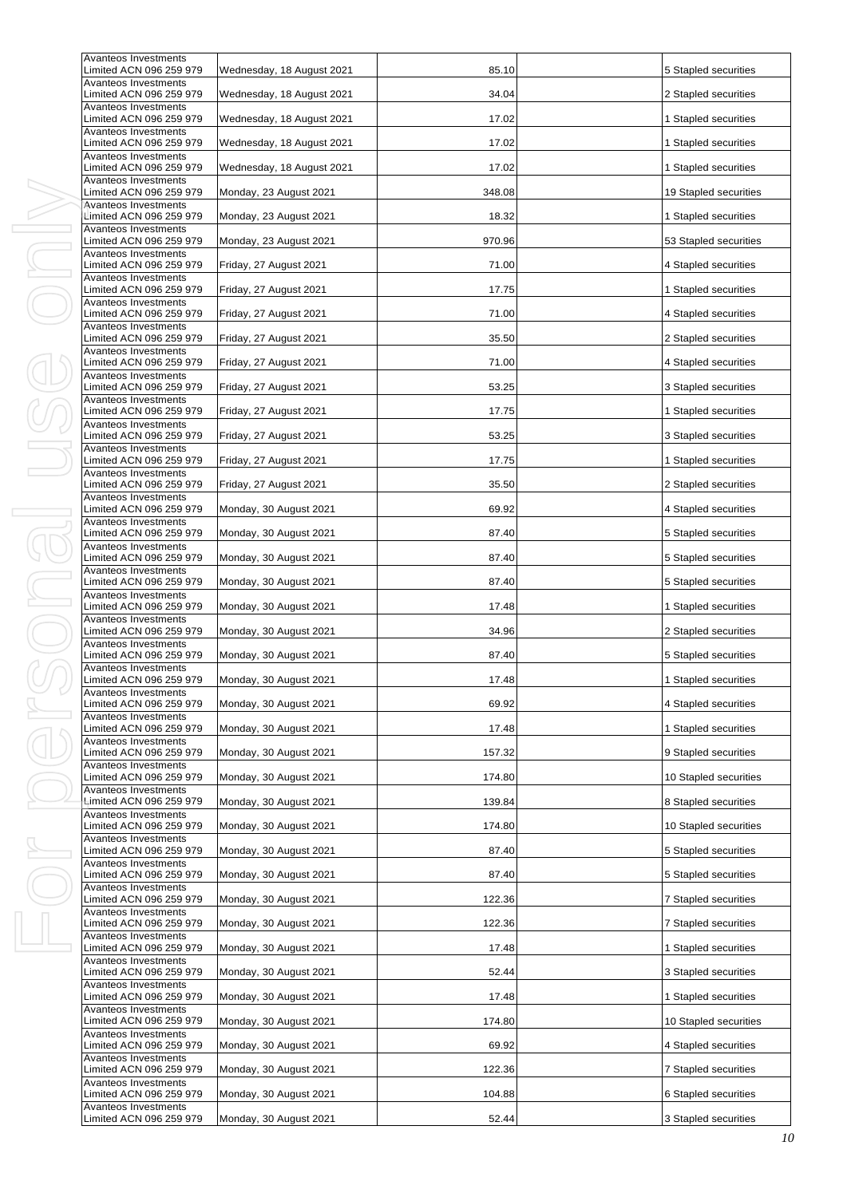| <b>Avanteos Investments</b><br>Limited ACN 096 259 979 | Wednesday, 18 August 2021 | 85.10  | 5 Stapled securities  |
|--------------------------------------------------------|---------------------------|--------|-----------------------|
| Avanteos Investments<br>Limited ACN 096 259 979        | Wednesday, 18 August 2021 | 34.04  | 2 Stapled securities  |
| Avanteos Investments<br>Limited ACN 096 259 979        | Wednesday, 18 August 2021 | 17.02  | 1 Stapled securities  |
| Avanteos Investments<br>Limited ACN 096 259 979        | Wednesday, 18 August 2021 | 17.02  | 1 Stapled securities  |
| Avanteos Investments<br>Limited ACN 096 259 979        | Wednesday, 18 August 2021 | 17.02  | 1 Stapled securities  |
| Avanteos Investments<br>Limited ACN 096 259 979        | Monday, 23 August 2021    | 348.08 | 19 Stapled securities |
| Avanteos Investments<br>Limited ACN 096 259 979        | Monday, 23 August 2021    | 18.32  | 1 Stapled securities  |
| Avanteos Investments<br>Limited ACN 096 259 979        | Monday, 23 August 2021    | 970.96 | 53 Stapled securities |
| <b>Avanteos Investments</b><br>Limited ACN 096 259 979 | Friday, 27 August 2021    | 71.00  | 4 Stapled securities  |
| Avanteos Investments<br>Limited ACN 096 259 979        | Friday, 27 August 2021    | 17.75  | 1 Stapled securities  |
| Avanteos Investments<br>Limited ACN 096 259 979        | Friday, 27 August 2021    | 71.00  | 4 Stapled securities  |
| Avanteos Investments<br>Limited ACN 096 259 979        | Friday, 27 August 2021    | 35.50  | 2 Stapled securities  |
| Avanteos Investments<br>Limited ACN 096 259 979        | Friday, 27 August 2021    | 71.00  | 4 Stapled securities  |
| Avanteos Investments<br>Limited ACN 096 259 979        | Friday, 27 August 2021    | 53.25  | 3 Stapled securities  |
| Avanteos Investments<br>Limited ACN 096 259 979        | Friday, 27 August 2021    | 17.75  | 1 Stapled securities  |
| Avanteos Investments<br>Limited ACN 096 259 979        | Friday, 27 August 2021    | 53.25  | 3 Stapled securities  |
| Avanteos Investments<br>Limited ACN 096 259 979        | Friday, 27 August 2021    | 17.75  | 1 Stapled securities  |
| Avanteos Investments<br>Limited ACN 096 259 979        | Friday, 27 August 2021    | 35.50  | 2 Stapled securities  |
| Avanteos Investments<br>Limited ACN 096 259 979        | Monday, 30 August 2021    | 69.92  | 4 Stapled securities  |
| Avanteos Investments<br>Limited ACN 096 259 979        | Monday, 30 August 2021    | 87.40  | 5 Stapled securities  |
| Avanteos Investments<br>Limited ACN 096 259 979        | Monday, 30 August 2021    | 87.40  | 5 Stapled securities  |
| Avanteos Investments<br>Limited ACN 096 259 979        | Monday, 30 August 2021    | 87.40  | 5 Stapled securities  |
| Avanteos Investments<br>Limited ACN 096 259 979        | Monday, 30 August 2021    | 17.48  | 1 Stapled securities  |
| Avanteos Investments<br>Limited ACN 096 259 979        | Monday, 30 August 2021    | 34.96  | 2 Stapled securities  |
| Avanteos Investments<br>Limited ACN 096 259 979        | Monday, 30 August 2021    | 87.40  | 5 Stapled securities  |
| Avanteos Investments<br>Limited ACN 096 259 979        | Monday, 30 August 2021    | 17.48  | 1 Stapled securities  |
| Avanteos Investments<br>Limited ACN 096 259 979        | Monday, 30 August 2021    | 69.92  | 4 Stapled securities  |
| <b>Avanteos Investments</b><br>Limited ACN 096 259 979 | Monday, 30 August 2021    | 17.48  | 1 Stapled securities  |
| Avanteos Investments<br>Limited ACN 096 259 979        | Monday, 30 August 2021    | 157.32 | 9 Stapled securities  |
| Avanteos Investments<br>Limited ACN 096 259 979        | Monday, 30 August 2021    | 174.80 | 10 Stapled securities |
| <b>Avanteos Investments</b><br>Limited ACN 096 259 979 | Monday, 30 August 2021    | 139.84 | 8 Stapled securities  |
| Avanteos Investments<br>Limited ACN 096 259 979        | Monday, 30 August 2021    | 174.80 | 10 Stapled securities |
| Avanteos Investments<br>Limited ACN 096 259 979        | Monday, 30 August 2021    | 87.40  | 5 Stapled securities  |
| Avanteos Investments<br>Limited ACN 096 259 979        | Monday, 30 August 2021    | 87.40  | 5 Stapled securities  |
| Avanteos Investments<br>Limited ACN 096 259 979        | Monday, 30 August 2021    | 122.36 | 7 Stapled securities  |
| Avanteos Investments<br>Limited ACN 096 259 979        | Monday, 30 August 2021    | 122.36 | 7 Stapled securities  |
| Avanteos Investments<br>Limited ACN 096 259 979        | Monday, 30 August 2021    | 17.48  | 1 Stapled securities  |
| Avanteos Investments<br>Limited ACN 096 259 979        | Monday, 30 August 2021    | 52.44  | 3 Stapled securities  |
| Avanteos Investments<br>Limited ACN 096 259 979        | Monday, 30 August 2021    | 17.48  | 1 Stapled securities  |
| Avanteos Investments<br>Limited ACN 096 259 979        | Monday, 30 August 2021    | 174.80 | 10 Stapled securities |
| Avanteos Investments<br>Limited ACN 096 259 979        | Monday, 30 August 2021    | 69.92  | 4 Stapled securities  |
| Avanteos Investments<br>Limited ACN 096 259 979        | Monday, 30 August 2021    | 122.36 | 7 Stapled securities  |
| Avanteos Investments<br>Limited ACN 096 259 979        | Monday, 30 August 2021    | 104.88 | 6 Stapled securities  |
| Avanteos Investments<br>Limited ACN 096 259 979        | Monday, 30 August 2021    | 52.44  | 3 Stapled securities  |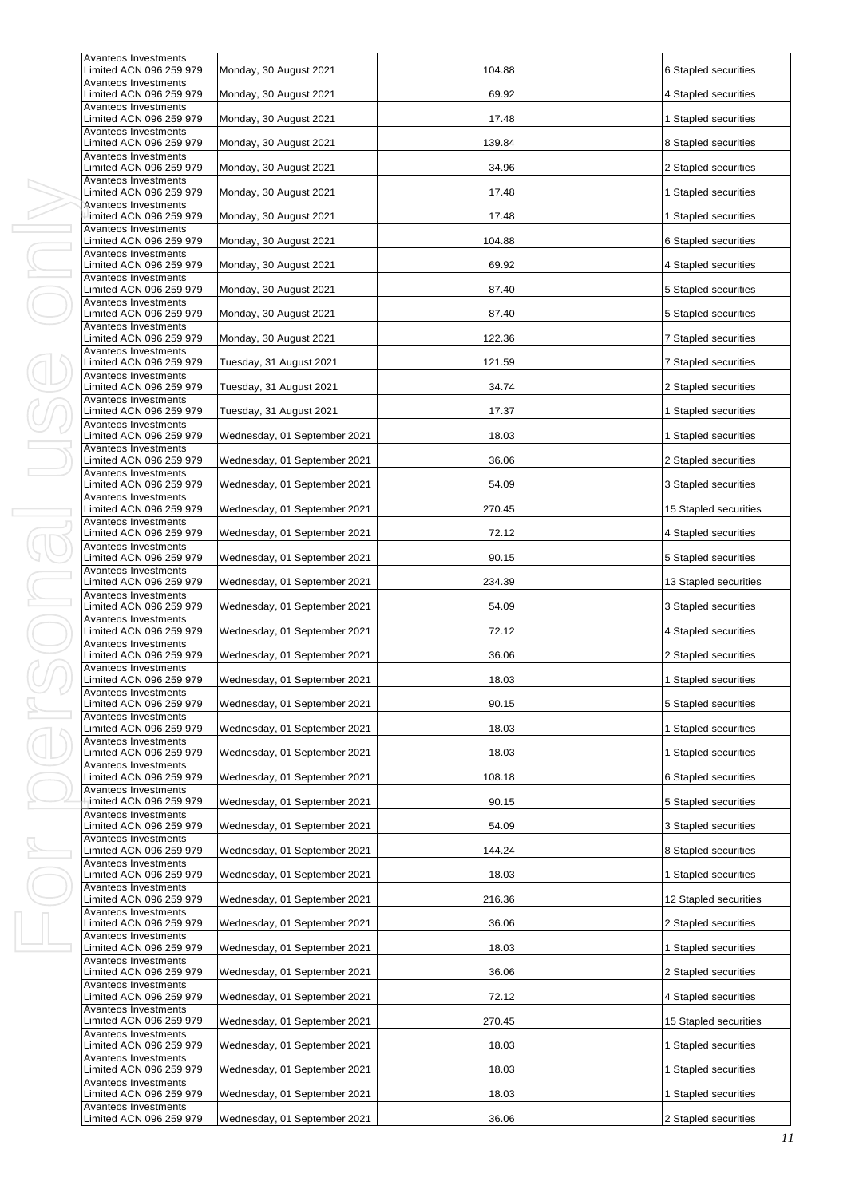| Avanteos Investments<br>Limited ACN 096 259 979        | Monday, 30 August 2021       | 104.88 | 6 Stapled securities  |
|--------------------------------------------------------|------------------------------|--------|-----------------------|
| Avanteos Investments<br>Limited ACN 096 259 979        | Monday, 30 August 2021       | 69.92  | 4 Stapled securities  |
| Avanteos Investments<br>Limited ACN 096 259 979        | Monday, 30 August 2021       | 17.48  | 1 Stapled securities  |
| Avanteos Investments<br>Limited ACN 096 259 979        | Monday, 30 August 2021       | 139.84 | 8 Stapled securities  |
| <b>Avanteos Investments</b><br>Limited ACN 096 259 979 | Monday, 30 August 2021       | 34.96  | 2 Stapled securities  |
| Avanteos Investments<br>Limited ACN 096 259 979        | Monday, 30 August 2021       | 17.48  | 1 Stapled securities  |
| Avanteos Investments<br>Limited ACN 096 259 979        | Monday, 30 August 2021       | 17.48  | 1 Stapled securities  |
| <b>Avanteos Investments</b><br>Limited ACN 096 259 979 | Monday, 30 August 2021       | 104.88 | 6 Stapled securities  |
| Avanteos Investments<br>Limited ACN 096 259 979        | Monday, 30 August 2021       | 69.92  | 4 Stapled securities  |
| Avanteos Investments<br>Limited ACN 096 259 979        | Monday, 30 August 2021       | 87.40  | 5 Stapled securities  |
| Avanteos Investments<br>Limited ACN 096 259 979        | Monday, 30 August 2021       | 87.40  | 5 Stapled securities  |
| Avanteos Investments<br>Limited ACN 096 259 979        | Monday, 30 August 2021       | 122.36 | 7 Stapled securities  |
| Avanteos Investments<br>Limited ACN 096 259 979        | Tuesday, 31 August 2021      | 121.59 | 7 Stapled securities  |
| Avanteos Investments<br>Limited ACN 096 259 979        | Tuesday, 31 August 2021      | 34.74  | 2 Stapled securities  |
| Avanteos Investments<br>Limited ACN 096 259 979        | Tuesday, 31 August 2021      | 17.37  | 1 Stapled securities  |
| Avanteos Investments<br>Limited ACN 096 259 979        | Wednesday, 01 September 2021 | 18.03  | 1 Stapled securities  |
| Avanteos Investments<br>Limited ACN 096 259 979        | Wednesday, 01 September 2021 | 36.06  | 2 Stapled securities  |
| Avanteos Investments<br>Limited ACN 096 259 979        | Wednesday, 01 September 2021 | 54.09  | 3 Stapled securities  |
| Avanteos Investments<br>Limited ACN 096 259 979        | Wednesday, 01 September 2021 | 270.45 | 15 Stapled securities |
| Avanteos Investments<br>Limited ACN 096 259 979        | Wednesday, 01 September 2021 | 72.12  | 4 Stapled securities  |
| Avanteos Investments<br>Limited ACN 096 259 979        | Wednesday, 01 September 2021 | 90.15  | 5 Stapled securities  |
| Avanteos Investments<br>Limited ACN 096 259 979        | Wednesday, 01 September 2021 | 234.39 | 13 Stapled securities |
| Avanteos Investments<br>Limited ACN 096 259 979        | Wednesday, 01 September 2021 | 54.09  | 3 Stapled securities  |
| <b>Avanteos Investments</b><br>Limited ACN 096 259 979 | Wednesday, 01 September 2021 | 72.12  | 4 Stapled securities  |
| Avanteos Investments<br>Limited ACN 096 259 979        | Wednesday, 01 September 2021 | 36.06  | 2 Stapled securities  |
| Avanteos Investments<br>Limited ACN 096 259 979        | Wednesday, 01 September 2021 | 18.03  | 1 Stapled securities  |
| Avanteos investments<br>Limited ACN 096 259 979        | Wednesday, 01 September 2021 | 90.15  | 5 Stapled securities  |
| Avanteos Investments<br>Limited ACN 096 259 979        | Wednesday, 01 September 2021 | 18.03  | 1 Stapled securities  |
| Avanteos Investments<br>Limited ACN 096 259 979        | Wednesday, 01 September 2021 | 18.03  | 1 Stapled securities  |
| Avanteos Investments<br>Limited ACN 096 259 979        | Wednesday, 01 September 2021 | 108.18 | 6 Stapled securities  |
| Avanteos Investments<br>Limited ACN 096 259 979        | Wednesday, 01 September 2021 | 90.15  | 5 Stapled securities  |
| Avanteos Investments<br>Limited ACN 096 259 979        | Wednesday, 01 September 2021 | 54.09  | 3 Stapled securities  |
| <b>Avanteos Investments</b><br>Limited ACN 096 259 979 | Wednesday, 01 September 2021 | 144.24 | 8 Stapled securities  |
| Avanteos Investments<br>Limited ACN 096 259 979        | Wednesday, 01 September 2021 | 18.03  | 1 Stapled securities  |
| Avanteos Investments<br>Limited ACN 096 259 979        | Wednesday, 01 September 2021 | 216.36 | 12 Stapled securities |
| Avanteos Investments<br>Limited ACN 096 259 979        | Wednesday, 01 September 2021 | 36.06  | 2 Stapled securities  |
| Avanteos Investments<br>Limited ACN 096 259 979        | Wednesday, 01 September 2021 | 18.03  | 1 Stapled securities  |
| Avanteos Investments<br>Limited ACN 096 259 979        | Wednesday, 01 September 2021 | 36.06  | 2 Stapled securities  |
| Avanteos Investments<br>Limited ACN 096 259 979        | Wednesday, 01 September 2021 | 72.12  | 4 Stapled securities  |
| Avanteos Investments<br>Limited ACN 096 259 979        | Wednesday, 01 September 2021 | 270.45 | 15 Stapled securities |
| Avanteos Investments<br>Limited ACN 096 259 979        | Wednesday, 01 September 2021 | 18.03  | 1 Stapled securities  |
| Avanteos Investments<br>Limited ACN 096 259 979        | Wednesday, 01 September 2021 | 18.03  | 1 Stapled securities  |
| Avanteos Investments<br>Limited ACN 096 259 979        | Wednesday, 01 September 2021 | 18.03  | 1 Stapled securities  |
| Avanteos Investments<br>Limited ACN 096 259 979        | Wednesday, 01 September 2021 | 36.06  | 2 Stapled securities  |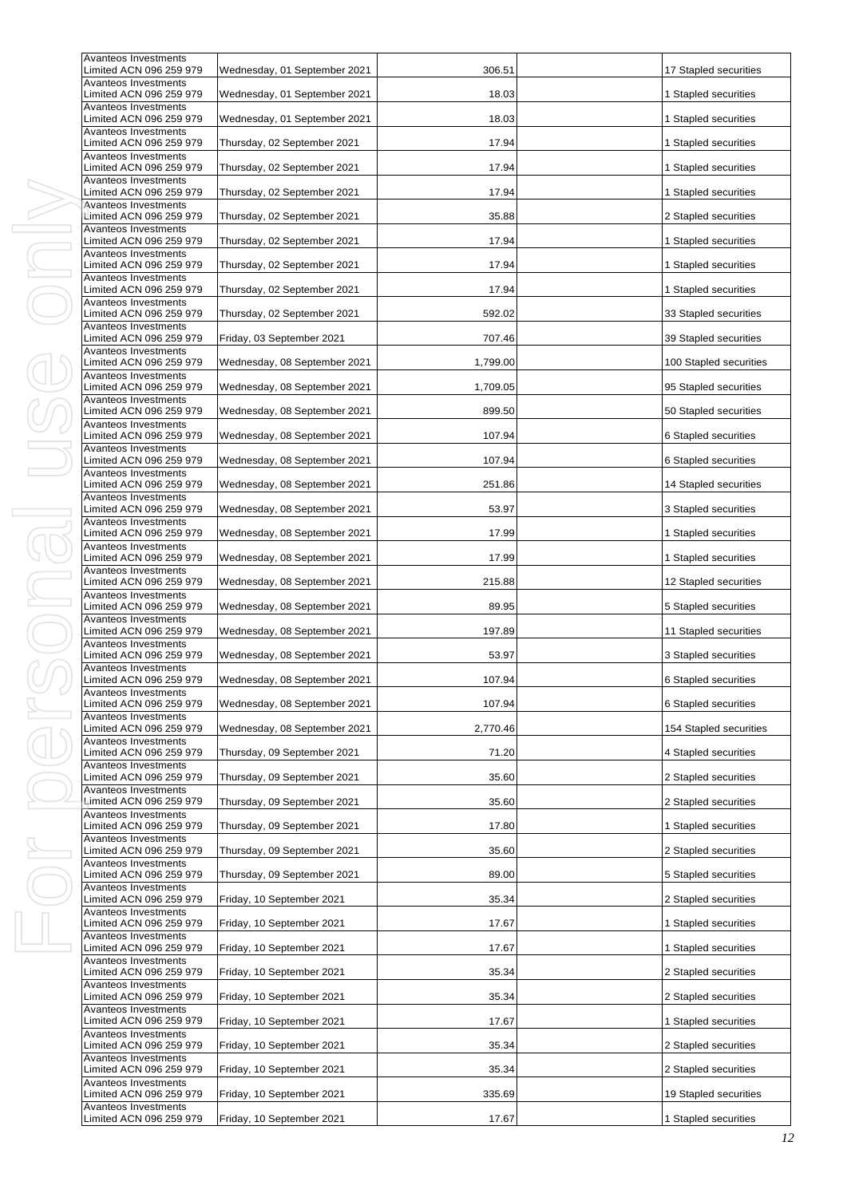| Avanteos Investments<br>Limited ACN 096 259 979                         | Wednesday, 01 September 2021 | 306.51   | 17 Stapled securities  |
|-------------------------------------------------------------------------|------------------------------|----------|------------------------|
| Avanteos Investments<br>Limited ACN 096 259 979                         | Wednesday, 01 September 2021 | 18.03    | 1 Stapled securities   |
| Avanteos Investments<br>Limited ACN 096 259 979                         | Wednesday, 01 September 2021 | 18.03    | 1 Stapled securities   |
| Avanteos Investments<br>Limited ACN 096 259 979                         | Thursday, 02 September 2021  | 17.94    | 1 Stapled securities   |
| Avanteos Investments<br>Limited ACN 096 259 979                         | Thursday, 02 September 2021  | 17.94    | 1 Stapled securities   |
| Avanteos Investments<br>Limited ACN 096 259 979                         | Thursday, 02 September 2021  | 17.94    | 1 Stapled securities   |
| Avanteos Investments<br>Limited ACN 096 259 979                         | Thursday, 02 September 2021  | 35.88    | 2 Stapled securities   |
| Avanteos Investments<br>Limited ACN 096 259 979                         | Thursday, 02 September 2021  | 17.94    | 1 Stapled securities   |
| Avanteos Investments<br>Limited ACN 096 259 979                         | Thursday, 02 September 2021  | 17.94    | 1 Stapled securities   |
| Avanteos Investments<br>Limited ACN 096 259 979                         | Thursday, 02 September 2021  | 17.94    | 1 Stapled securities   |
| Avanteos Investments<br>Limited ACN 096 259 979                         | Thursday, 02 September 2021  | 592.02   | 33 Stapled securities  |
| Avanteos Investments<br>Limited ACN 096 259 979<br>Avanteos Investments | Friday, 03 September 2021    | 707.46   | 39 Stapled securities  |
| Limited ACN 096 259 979<br>Avanteos Investments                         | Wednesday, 08 September 2021 | 1,799.00 | 100 Stapled securities |
| Limited ACN 096 259 979<br>Avanteos Investments                         | Wednesday, 08 September 2021 | 1,709.05 | 95 Stapled securities  |
| Limited ACN 096 259 979<br>Avanteos Investments                         | Wednesday, 08 September 2021 | 899.50   | 50 Stapled securities  |
| Limited ACN 096 259 979<br>Avanteos Investments                         | Wednesday, 08 September 2021 | 107.94   | 6 Stapled securities   |
| Limited ACN 096 259 979<br>Avanteos Investments                         | Wednesday, 08 September 2021 | 107.94   | 6 Stapled securities   |
| Limited ACN 096 259 979<br>Avanteos Investments                         | Wednesday, 08 September 2021 | 251.86   | 14 Stapled securities  |
| Limited ACN 096 259 979<br>Avanteos Investments                         | Wednesday, 08 September 2021 | 53.97    | 3 Stapled securities   |
| Limited ACN 096 259 979<br>Avanteos Investments                         | Wednesday, 08 September 2021 | 17.99    | 1 Stapled securities   |
| Limited ACN 096 259 979                                                 | Wednesday, 08 September 2021 | 17.99    | 1 Stapled securities   |
| Avanteos Investments<br>Limited ACN 096 259 979<br>Avanteos Investments | Wednesday, 08 September 2021 | 215.88   | 12 Stapled securities  |
| Limited ACN 096 259 979<br>Avanteos Investments                         | Wednesday, 08 September 2021 | 89.95    | 5 Stapled securities   |
| Limited ACN 096 259 979<br>Avanteos Investments                         | Wednesday, 08 September 2021 | 197.89   | 11 Stapled securities  |
| Limited ACN 096 259 979<br>Avanteos Investments                         | Wednesday, 08 September 2021 | 53.97    | 3 Stapled securities   |
| Limited ACN 096 259 979                                                 | Wednesday, 08 September 2021 | 107.94   | 6 Stapled securities   |
| Avanteos Investments<br>Limited ACN 096 259 979<br>Avanteos Investments | Wednesday, 08 September 2021 | 107.94   | 6 Stapled securities   |
| Limited ACN 096 259 979<br>Avanteos Investments                         | Wednesday, 08 September 2021 | 2,770.46 | 154 Stapled securities |
| Limited ACN 096 259 979<br>Avanteos Investments                         | Thursday, 09 September 2021  | 71.20    | 4 Stapled securities   |
| Limited ACN 096 259 979<br>Avanteos Investments                         | Thursday, 09 September 2021  | 35.60    | 2 Stapled securities   |
| Limited ACN 096 259 979<br>Avanteos Investments                         | Thursday, 09 September 2021  | 35.60    | 2 Stapled securities   |
| Limited ACN 096 259 979                                                 | Thursday, 09 September 2021  | 17.80    | 1 Stapled securities   |
| Avanteos Investments<br>Limited ACN 096 259 979                         | Thursday, 09 September 2021  | 35.60    | 2 Stapled securities   |
| Avanteos Investments<br>Limited ACN 096 259 979                         | Thursday, 09 September 2021  | 89.00    | 5 Stapled securities   |
| Avanteos Investments<br>Limited ACN 096 259 979<br>Avanteos Investments | Friday, 10 September 2021    | 35.34    | 2 Stapled securities   |
| Limited ACN 096 259 979<br>Avanteos Investments                         | Friday, 10 September 2021    | 17.67    | 1 Stapled securities   |
| Limited ACN 096 259 979<br>Avanteos Investments                         | Friday, 10 September 2021    | 17.67    | 1 Stapled securities   |
| Limited ACN 096 259 979<br>Avanteos Investments                         | Friday, 10 September 2021    | 35.34    | 2 Stapled securities   |
| Limited ACN 096 259 979<br>Avanteos Investments                         | Friday, 10 September 2021    | 35.34    | 2 Stapled securities   |
| Limited ACN 096 259 979<br>Avanteos Investments                         | Friday, 10 September 2021    | 17.67    | 1 Stapled securities   |
| Limited ACN 096 259 979<br>Avanteos Investments                         | Friday, 10 September 2021    | 35.34    | 2 Stapled securities   |
| Limited ACN 096 259 979<br>Avanteos Investments                         | Friday, 10 September 2021    | 35.34    | 2 Stapled securities   |
| Limited ACN 096 259 979<br>Avanteos Investments                         | Friday, 10 September 2021    | 335.69   | 19 Stapled securities  |
| Limited ACN 096 259 979                                                 | Friday, 10 September 2021    | 17.67    | 1 Stapled securities   |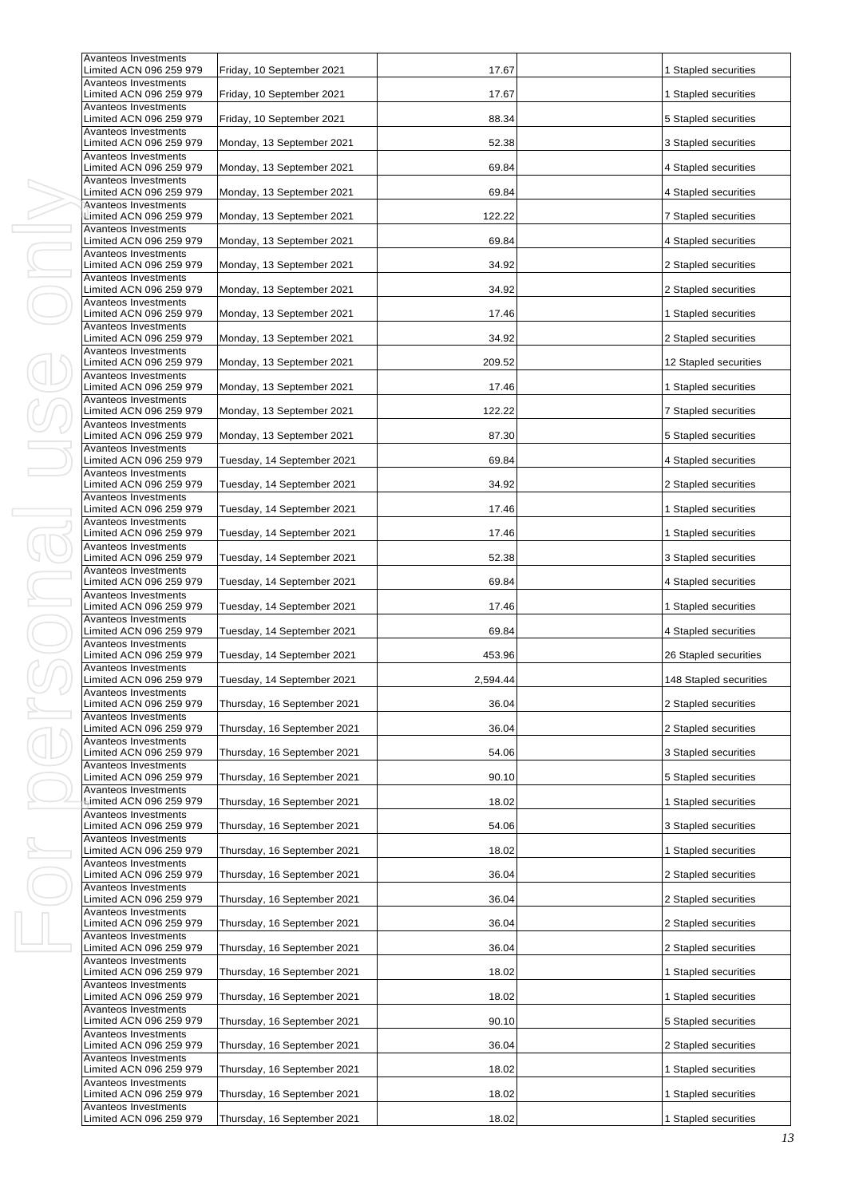| Avanteos Investments<br>Limited ACN 096 259 979                            | Friday, 10 September 2021                                  | 17.67          | 1 Stapled securities                         |
|----------------------------------------------------------------------------|------------------------------------------------------------|----------------|----------------------------------------------|
| Avanteos Investments<br>Limited ACN 096 259 979                            | Friday, 10 September 2021                                  | 17.67          | 1 Stapled securities                         |
| Avanteos Investments<br>Limited ACN 096 259 979                            | Friday, 10 September 2021                                  | 88.34          | 5 Stapled securities                         |
| Avanteos Investments<br>Limited ACN 096 259 979                            | Monday, 13 September 2021                                  | 52.38          | 3 Stapled securities                         |
| Avanteos Investments<br>Limited ACN 096 259 979                            | Monday, 13 September 2021                                  | 69.84          | 4 Stapled securities                         |
| Avanteos Investments<br>Limited ACN 096 259 979                            | Monday, 13 September 2021                                  | 69.84          | 4 Stapled securities                         |
| Avanteos Investments<br>Limited ACN 096 259 979                            | Monday, 13 September 2021                                  | 122.22         | <b>7 Stapled securities</b>                  |
| Avanteos Investments<br>Limited ACN 096 259 979                            | Monday, 13 September 2021                                  | 69.84          | 4 Stapled securities                         |
| Avanteos Investments<br>Limited ACN 096 259 979                            | Monday, 13 September 2021                                  | 34.92          | 2 Stapled securities                         |
| Avanteos Investments<br>Limited ACN 096 259 979                            | Monday, 13 September 2021                                  | 34.92          | 2 Stapled securities                         |
| Avanteos Investments<br>Limited ACN 096 259 979                            | Monday, 13 September 2021                                  | 17.46          | 1 Stapled securities                         |
| Avanteos Investments<br>Limited ACN 096 259 979                            | Monday, 13 September 2021                                  | 34.92          | 2 Stapled securities                         |
| Avanteos Investments<br>Limited ACN 096 259 979                            | Monday, 13 September 2021                                  | 209.52         | 12 Stapled securities                        |
| Avanteos Investments<br>Limited ACN 096 259 979                            | Monday, 13 September 2021                                  | 17.46          | 1 Stapled securities                         |
| <b>Avanteos Investments</b><br>Limited ACN 096 259 979                     | Monday, 13 September 2021                                  | 122.22         | <b>7 Stapled securities</b>                  |
| Avanteos Investments<br>Limited ACN 096 259 979                            | Monday, 13 September 2021                                  | 87.30          | 5 Stapled securities                         |
| <b>Avanteos Investments</b><br>Limited ACN 096 259 979                     | Tuesday, 14 September 2021                                 | 69.84          | 4 Stapled securities                         |
| Avanteos Investments<br>Limited ACN 096 259 979                            | Tuesday, 14 September 2021                                 | 34.92          | 2 Stapled securities                         |
| Avanteos Investments<br>Limited ACN 096 259 979                            | Tuesday, 14 September 2021                                 | 17.46          | 1 Stapled securities                         |
| Avanteos Investments<br>Limited ACN 096 259 979                            | Tuesday, 14 September 2021                                 | 17.46          | 1 Stapled securities                         |
| Avanteos Investments<br>Limited ACN 096 259 979                            | Tuesday, 14 September 2021                                 | 52.38          | 3 Stapled securities                         |
| Avanteos Investments<br>Limited ACN 096 259 979                            | Tuesday, 14 September 2021                                 | 69.84          | 4 Stapled securities                         |
| Avanteos Investments<br>Limited ACN 096 259 979                            | Tuesday, 14 September 2021                                 | 17.46          | 1 Stapled securities                         |
| Avanteos Investments<br>Limited ACN 096 259 979                            | Tuesday, 14 September 2021                                 | 69.84          | 4 Stapled securities                         |
| <b>Avanteos Investments</b><br>Limited ACN 096 259 979                     | Tuesday, 14 September 2021                                 | 453.96         | 26 Stapled securities                        |
| Avanteos Investments<br>Limited ACN 096 259 979                            | Tuesday, 14 September 2021                                 | 2.594.44       | 148 Stapled securities                       |
| Avanteos Investments<br>Limited ACN 096 259 979                            | Thursday, 16 September 2021                                | 36.04          | 2 Stapled securities                         |
| Avanteos Investments<br>Limited ACN 096 259 979                            | Thursday, 16 September 2021                                | 36.04          | 2 Stapled securities                         |
| Avanteos Investments<br>Limited ACN 096 259 979                            | Thursday, 16 September 2021                                | 54.06          | 3 Stapled securities                         |
| Avanteos Investments<br>Limited ACN 096 259 979                            | Thursday, 16 September 2021                                | 90.10          | 5 Stapled securities                         |
| Avanteos Investments<br>Limited ACN 096 259 979                            | Thursday, 16 September 2021                                | 18.02          | 1 Stapled securities                         |
| Avanteos Investments<br>Limited ACN 096 259 979                            | Thursday, 16 September 2021                                | 54.06          | 3 Stapled securities                         |
| Avanteos Investments<br>Limited ACN 096 259 979                            | Thursday, 16 September 2021                                | 18.02          | 1 Stapled securities                         |
| Avanteos Investments<br>Limited ACN 096 259 979                            | Thursday, 16 September 2021                                | 36.04          | 2 Stapled securities                         |
| Avanteos Investments<br>Limited ACN 096 259 979                            | Thursday, 16 September 2021                                | 36.04          | 2 Stapled securities                         |
| Avanteos Investments<br>Limited ACN 096 259 979                            | Thursday, 16 September 2021                                | 36.04          | 2 Stapled securities                         |
| Avanteos Investments<br>Limited ACN 096 259 979                            | Thursday, 16 September 2021                                | 36.04          | 2 Stapled securities                         |
| Avanteos Investments<br>Limited ACN 096 259 979                            | Thursday, 16 September 2021                                | 18.02          | 1 Stapled securities                         |
| Avanteos Investments<br>Limited ACN 096 259 979                            | Thursday, 16 September 2021                                | 18.02          | 1 Stapled securities                         |
| Avanteos Investments<br>Limited ACN 096 259 979                            | Thursday, 16 September 2021                                | 90.10          | 5 Stapled securities                         |
| Avanteos Investments<br>Limited ACN 096 259 979                            | Thursday, 16 September 2021                                | 36.04          | 2 Stapled securities                         |
| Avanteos Investments<br>Limited ACN 096 259 979                            | Thursday, 16 September 2021                                | 18.02          | 1 Stapled securities                         |
| Avanteos Investments                                                       |                                                            |                |                                              |
| Limited ACN 096 259 979<br>Avanteos Investments<br>Limited ACN 096 259 979 | Thursday, 16 September 2021<br>Thursday, 16 September 2021 | 18.02<br>18.02 | 1 Stapled securities<br>1 Stapled securities |
|                                                                            |                                                            |                |                                              |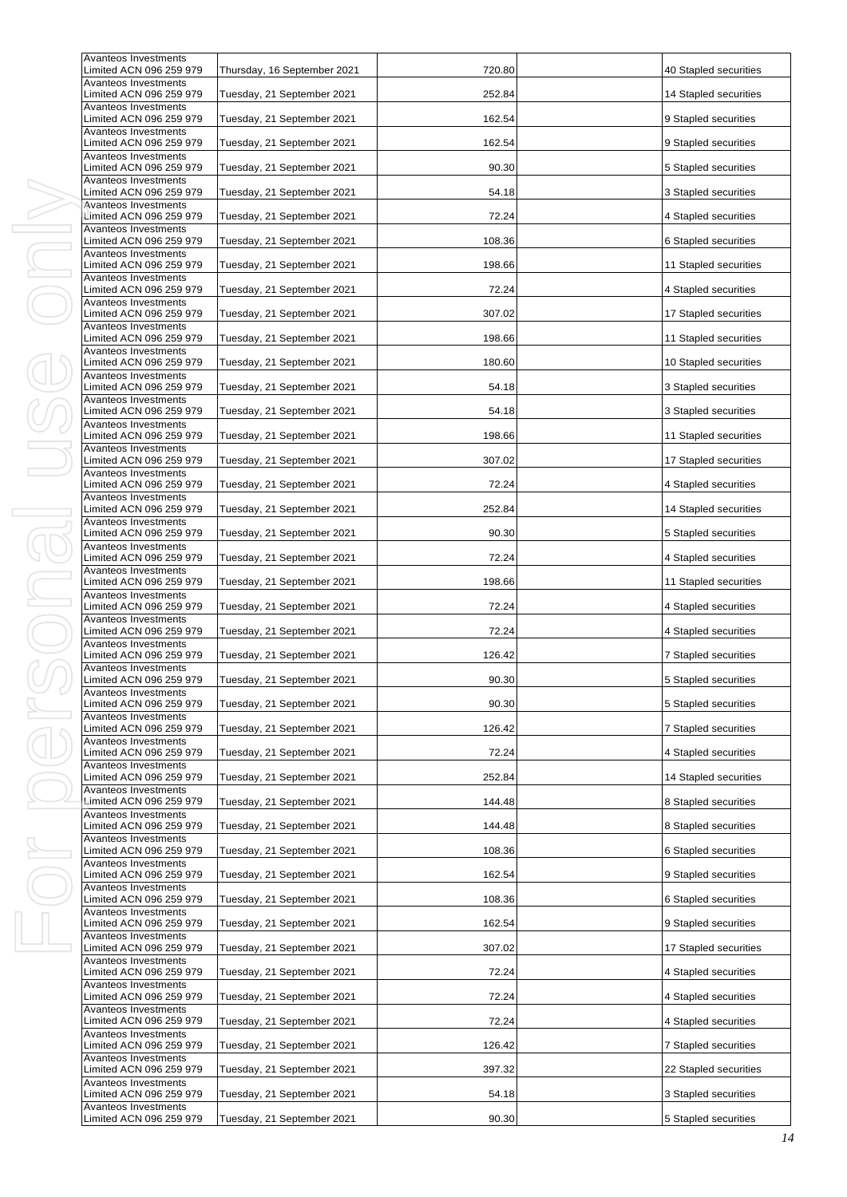| Avanteos Investments<br>Limited ACN 096 259 979                         | Thursday, 16 September 2021 | 720.80 | 40 Stapled securities |
|-------------------------------------------------------------------------|-----------------------------|--------|-----------------------|
| Avanteos Investments<br>Limited ACN 096 259 979                         | Tuesday, 21 September 2021  | 252.84 | 14 Stapled securities |
| Avanteos Investments<br>Limited ACN 096 259 979                         | Tuesday, 21 September 2021  | 162.54 | 9 Stapled securities  |
| Avanteos Investments<br>Limited ACN 096 259 979                         | Tuesday, 21 September 2021  | 162.54 | 9 Stapled securities  |
| Avanteos Investments<br>Limited ACN 096 259 979                         | Tuesday, 21 September 2021  | 90.30  | 5 Stapled securities  |
| Avanteos Investments<br>Limited ACN 096 259 979                         | Tuesday, 21 September 2021  | 54.18  | 3 Stapled securities  |
| Avanteos Investments<br>Limited ACN 096 259 979                         | Tuesday, 21 September 2021  | 72.24  | 4 Stapled securities  |
| Avanteos Investments<br>Limited ACN 096 259 979                         | Tuesday, 21 September 2021  | 108.36 | 6 Stapled securities  |
| Avanteos Investments<br>Limited ACN 096 259 979                         | Tuesday, 21 September 2021  | 198.66 | 11 Stapled securities |
| Avanteos Investments<br>Limited ACN 096 259 979                         | Tuesday, 21 September 2021  | 72.24  | 4 Stapled securities  |
| Avanteos Investments<br>Limited ACN 096 259 979                         | Tuesday, 21 September 2021  | 307.02 | 17 Stapled securities |
| Avanteos Investments<br>Limited ACN 096 259 979<br>Avanteos Investments | Tuesday, 21 September 2021  | 198.66 | 11 Stapled securities |
| Limited ACN 096 259 979<br><b>Avanteos Investments</b>                  | Tuesday, 21 September 2021  | 180.60 | 10 Stapled securities |
| Limited ACN 096 259 979<br>Avanteos Investments                         | Tuesday, 21 September 2021  | 54.18  | 3 Stapled securities  |
| Limited ACN 096 259 979<br>Avanteos Investments                         | Tuesday, 21 September 2021  | 54.18  | 3 Stapled securities  |
| Limited ACN 096 259 979<br>Avanteos Investments                         | Tuesday, 21 September 2021  | 198.66 | 11 Stapled securities |
| Limited ACN 096 259 979<br>Avanteos Investments                         | Tuesday, 21 September 2021  | 307.02 | 17 Stapled securities |
| Limited ACN 096 259 979<br>Avanteos Investments                         | Tuesday, 21 September 2021  | 72.24  | 4 Stapled securities  |
| Limited ACN 096 259 979<br>Avanteos Investments                         | Tuesday, 21 September 2021  | 252.84 | 14 Stapled securities |
| Limited ACN 096 259 979<br>Avanteos Investments                         | Tuesday, 21 September 2021  | 90.30  | 5 Stapled securities  |
| Limited ACN 096 259 979<br>Avanteos Investments                         | Tuesday, 21 September 2021  | 72.24  | 4 Stapled securities  |
| Limited ACN 096 259 979<br>Avanteos Investments                         | Tuesday, 21 September 2021  | 198.66 | 11 Stapled securities |
| Limited ACN 096 259 979<br>Avanteos Investments                         | Tuesday, 21 September 2021  | 72.24  | 4 Stapled securities  |
| Limited ACN 096 259 979<br>Avanteos Investments                         | Tuesday, 21 September 2021  | 72.24  | 4 Stapled securities  |
| Limited ACN 096 259 979<br><b>Avanteos Investments</b>                  | Tuesday, 21 September 2021  | 126.42 | 7 Stapled securities  |
| Limited ACN 096 259 979<br>Avanteos Investments                         | Tuesday, 21 September 2021  | 90.30  | 5 Stapled securities  |
| Limited ACN 096 259 979<br><b>Avanteos Investments</b>                  | Tuesday, 21 September 2021  | 90.30  | 5 Stapled securities  |
| Limited ACN 096 259 979<br><b>Avanteos Investments</b>                  | Tuesday, 21 September 2021  | 126.42 | 7 Stapled securities  |
| Limited ACN 096 259 979<br>Avanteos Investments                         | Tuesday, 21 September 2021  | 72.24  | 4 Stapled securities  |
| Limited ACN 096 259 979<br>Avanteos Investments                         | Tuesday, 21 September 2021  | 252.84 | 14 Stapled securities |
| Limited ACN 096 259 979<br>Avanteos Investments                         | Tuesday, 21 September 2021  | 144.48 | 8 Stapled securities  |
| Limited ACN 096 259 979<br>Avanteos Investments                         | Tuesday, 21 September 2021  | 144.48 | 8 Stapled securities  |
| Limited ACN 096 259 979<br>Avanteos Investments                         | Tuesday, 21 September 2021  | 108.36 | 6 Stapled securities  |
| Limited ACN 096 259 979<br>Avanteos Investments                         | Tuesday, 21 September 2021  | 162.54 | 9 Stapled securities  |
| Limited ACN 096 259 979<br>Avanteos Investments                         | Tuesday, 21 September 2021  | 108.36 | 6 Stapled securities  |
| Limited ACN 096 259 979<br>Avanteos Investments                         | Tuesday, 21 September 2021  | 162.54 | 9 Stapled securities  |
| Limited ACN 096 259 979<br>Avanteos Investments                         | Tuesday, 21 September 2021  | 307.02 | 17 Stapled securities |
| Limited ACN 096 259 979<br>Avanteos Investments                         | Tuesday, 21 September 2021  | 72.24  | 4 Stapled securities  |
| Limited ACN 096 259 979<br>Avanteos Investments                         | Tuesday, 21 September 2021  | 72.24  | 4 Stapled securities  |
| Limited ACN 096 259 979<br>Avanteos Investments                         | Tuesday, 21 September 2021  | 72.24  | 4 Stapled securities  |
| Limited ACN 096 259 979<br>Avanteos Investments                         | Tuesday, 21 September 2021  | 126.42 | 7 Stapled securities  |
| Limited ACN 096 259 979<br>Avanteos Investments                         | Tuesday, 21 September 2021  | 397.32 | 22 Stapled securities |
| Limited ACN 096 259 979<br>Avanteos Investments                         | Tuesday, 21 September 2021  | 54.18  | 3 Stapled securities  |
| Limited ACN 096 259 979                                                 | Tuesday, 21 September 2021  | 90.30  | 5 Stapled securities  |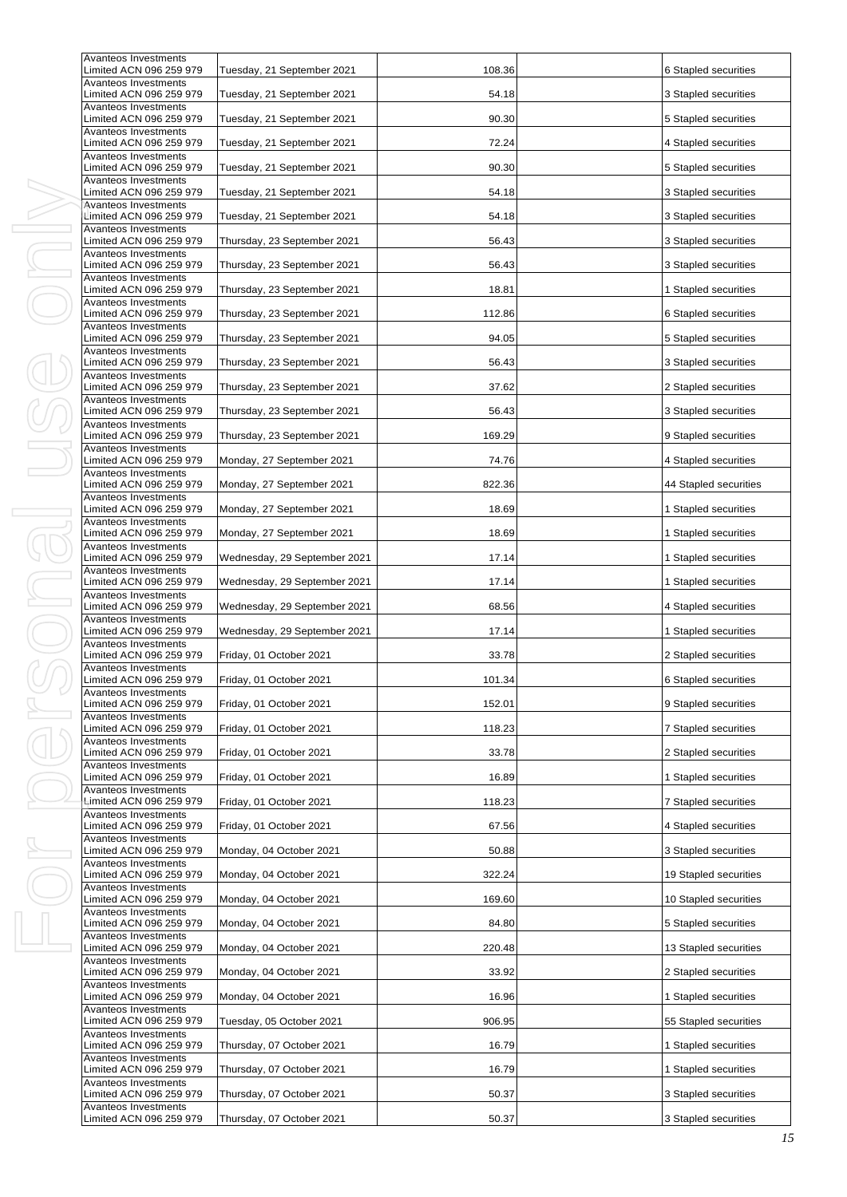| Avanteos Investments<br>Limited ACN 096 259 979                         | Tuesday, 21 September 2021   | 108.36 | 6 Stapled securities        |
|-------------------------------------------------------------------------|------------------------------|--------|-----------------------------|
| Avanteos Investments<br>Limited ACN 096 259 979                         | Tuesday, 21 September 2021   | 54.18  | 3 Stapled securities        |
| Avanteos Investments<br>Limited ACN 096 259 979                         | Tuesday, 21 September 2021   | 90.30  | 5 Stapled securities        |
| Avanteos Investments<br>Limited ACN 096 259 979                         | Tuesday, 21 September 2021   | 72.24  | 4 Stapled securities        |
| Avanteos Investments<br>Limited ACN 096 259 979                         | Tuesday, 21 September 2021   | 90.30  | 5 Stapled securities        |
| Avanteos Investments<br>Limited ACN 096 259 979                         | Tuesday, 21 September 2021   | 54.18  | 3 Stapled securities        |
| Avanteos Investments<br>Limited ACN 096 259 979                         | Tuesday, 21 September 2021   | 54.18  | 3 Stapled securities        |
| Avanteos Investments<br>Limited ACN 096 259 979                         | Thursday, 23 September 2021  | 56.43  | 3 Stapled securities        |
| Avanteos Investments<br>Limited ACN 096 259 979                         | Thursday, 23 September 2021  | 56.43  | 3 Stapled securities        |
| Avanteos Investments<br>Limited ACN 096 259 979                         | Thursday, 23 September 2021  | 18.81  | 1 Stapled securities        |
| Avanteos Investments<br>Limited ACN 096 259 979                         | Thursday, 23 September 2021  | 112.86 | 6 Stapled securities        |
| Avanteos Investments<br>Limited ACN 096 259 979                         | Thursday, 23 September 2021  | 94.05  | 5 Stapled securities        |
| Avanteos Investments<br>Limited ACN 096 259 979                         | Thursday, 23 September 2021  | 56.43  | 3 Stapled securities        |
| Avanteos Investments<br>Limited ACN 096 259 979                         | Thursday, 23 September 2021  | 37.62  | 2 Stapled securities        |
| Avanteos Investments<br>Limited ACN 096 259 979                         | Thursday, 23 September 2021  | 56.43  | 3 Stapled securities        |
| Avanteos Investments<br>Limited ACN 096 259 979                         | Thursday, 23 September 2021  | 169.29 | 9 Stapled securities        |
| Avanteos Investments<br>Limited ACN 096 259 979<br>Avanteos Investments | Monday, 27 September 2021    | 74.76  | 4 Stapled securities        |
| Limited ACN 096 259 979<br>Avanteos Investments                         | Monday, 27 September 2021    | 822.36 | 44 Stapled securities       |
| Limited ACN 096 259 979<br>Avanteos Investments                         | Monday, 27 September 2021    | 18.69  | 1 Stapled securities        |
| Limited ACN 096 259 979<br>Avanteos Investments                         | Monday, 27 September 2021    | 18.69  | 1 Stapled securities        |
| Limited ACN 096 259 979<br>Avanteos Investments                         | Wednesday, 29 September 2021 | 17.14  | 1 Stapled securities        |
| Limited ACN 096 259 979<br>Avanteos Investments                         | Wednesday, 29 September 2021 | 17.14  | 1 Stapled securities        |
| Limited ACN 096 259 979<br>Avanteos Investments                         | Wednesday, 29 September 2021 | 68.56  | 4 Stapled securities        |
| Limited ACN 096 259 979<br>Avanteos Investments                         | Wednesday, 29 September 2021 | 17.14  | 1 Stapled securities        |
| Limited ACN 096 259 979<br>Avanteos Investments                         | Friday, 01 October 2021      | 33.78  | 2 Stapled securities        |
| Limited ACN 096 259 979<br>Avanteos Investments                         | Friday, 01 October 2021      | 101.34 | 6 Stapled securities        |
| Limited ACN 096 259 979<br>Avanteos Investments                         | Friday, 01 October 2021      | 152.01 | 9 Stapled securities        |
| Limited ACN 096 259 979<br>Avanteos Investments                         | Friday, 01 October 2021      | 118.23 | 7 Stapled securities        |
| Limited ACN 096 259 979<br>Avanteos Investments                         | Friday, 01 October 2021      | 33.78  | 2 Stapled securities        |
| Limited ACN 096 259 979<br><b>Avanteos Investments</b>                  | Friday, 01 October 2021      | 16.89  | 1 Stapled securities        |
| Limited ACN 096 259 979<br>Avanteos Investments                         | Friday, 01 October 2021      | 118.23 | <b>7 Stapled securities</b> |
| Limited ACN 096 259 979<br>Avanteos Investments                         | Friday, 01 October 2021      | 67.56  | 4 Stapled securities        |
| Limited ACN 096 259 979<br>Avanteos Investments                         | Monday, 04 October 2021      | 50.88  | 3 Stapled securities        |
| Limited ACN 096 259 979<br>Avanteos Investments                         | Monday, 04 October 2021      | 322.24 | 19 Stapled securities       |
| Limited ACN 096 259 979<br>Avanteos Investments                         | Monday, 04 October 2021      | 169.60 | 10 Stapled securities       |
| Limited ACN 096 259 979<br>Avanteos Investments                         | Monday, 04 October 2021      | 84.80  | 5 Stapled securities        |
| Limited ACN 096 259 979<br>Avanteos Investments                         | Monday, 04 October 2021      | 220.48 | 13 Stapled securities       |
| Limited ACN 096 259 979<br>Avanteos Investments                         | Monday, 04 October 2021      | 33.92  | 2 Stapled securities        |
| Limited ACN 096 259 979<br>Avanteos Investments                         | Monday, 04 October 2021      | 16.96  | 1 Stapled securities        |
| Limited ACN 096 259 979<br>Avanteos Investments                         | Tuesday, 05 October 2021     | 906.95 | 55 Stapled securities       |
| Limited ACN 096 259 979<br>Avanteos Investments                         | Thursday, 07 October 2021    | 16.79  | 1 Stapled securities        |
| Limited ACN 096 259 979<br>Avanteos Investments                         | Thursday, 07 October 2021    | 16.79  | 1 Stapled securities        |
| Limited ACN 096 259 979<br>Avanteos Investments                         | Thursday, 07 October 2021    | 50.37  | 3 Stapled securities        |
| Limited ACN 096 259 979                                                 | Thursday, 07 October 2021    | 50.37  | 3 Stapled securities        |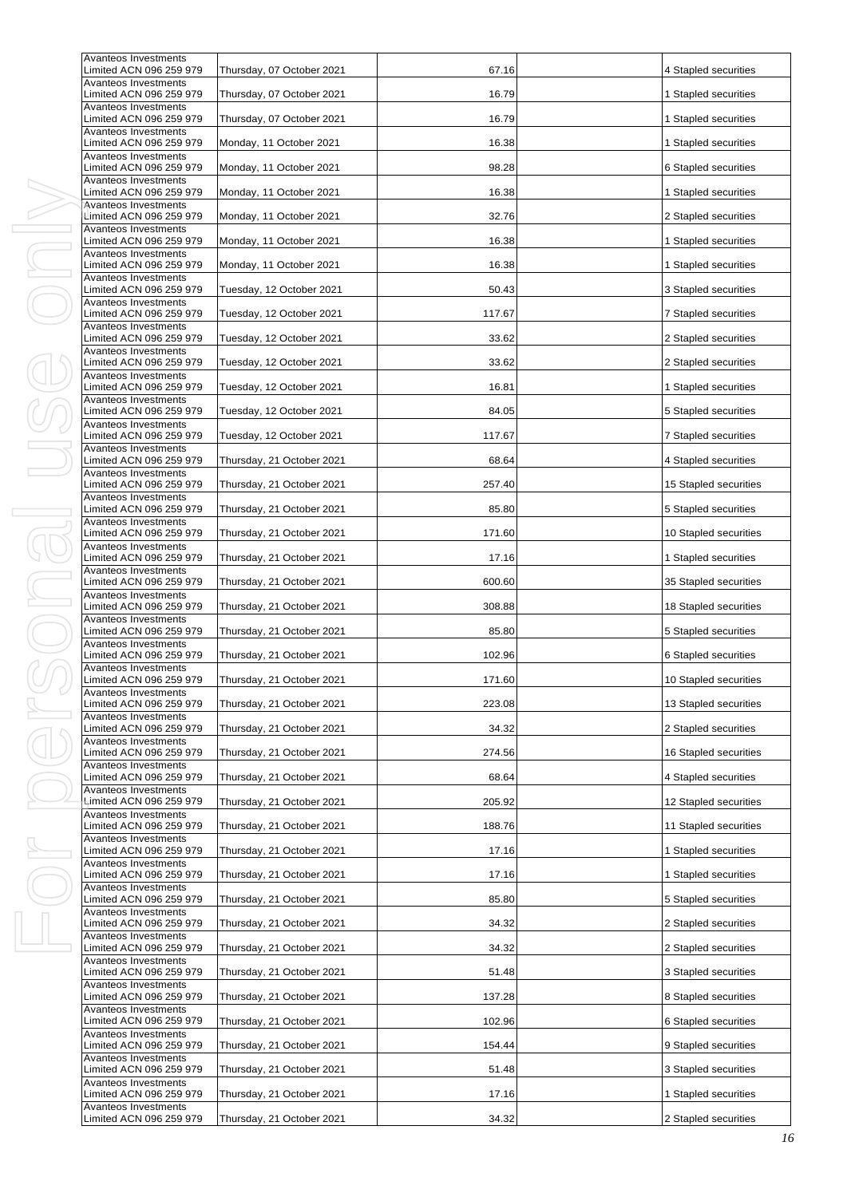| Avanteos Investments<br>Limited ACN 096 259 979                         | Thursday, 07 October 2021 | 67.16  | 4 Stapled securities  |
|-------------------------------------------------------------------------|---------------------------|--------|-----------------------|
| Avanteos Investments<br>Limited ACN 096 259 979                         | Thursday, 07 October 2021 | 16.79  | 1 Stapled securities  |
| Avanteos Investments<br>Limited ACN 096 259 979                         | Thursday, 07 October 2021 | 16.79  | 1 Stapled securities  |
| <b>Avanteos Investments</b><br>Limited ACN 096 259 979                  | Monday, 11 October 2021   | 16.38  | 1 Stapled securities  |
| Avanteos Investments<br>Limited ACN 096 259 979                         | Monday, 11 October 2021   | 98.28  | 6 Stapled securities  |
| Avanteos Investments<br>Limited ACN 096 259 979                         | Monday, 11 October 2021   | 16.38  | 1 Stapled securities  |
| <b>Avanteos Investments</b><br>Limited ACN 096 259 979                  | Monday, 11 October 2021   | 32.76  | 2 Stapled securities  |
| <b>Avanteos Investments</b><br>Limited ACN 096 259 979                  | Monday, 11 October 2021   | 16.38  | 1 Stapled securities  |
| Avanteos Investments<br>Limited ACN 096 259 979                         | Monday, 11 October 2021   | 16.38  | 1 Stapled securities  |
| Avanteos Investments<br>Limited ACN 096 259 979                         | Tuesday, 12 October 2021  | 50.43  | 3 Stapled securities  |
| Avanteos Investments<br>Limited ACN 096 259 979                         | Tuesday, 12 October 2021  | 117.67 | 7 Stapled securities  |
| Avanteos Investments<br>Limited ACN 096 259 979                         | Tuesday, 12 October 2021  | 33.62  | 2 Stapled securities  |
| Avanteos Investments<br>Limited ACN 096 259 979                         | Tuesday, 12 October 2021  | 33.62  | 2 Stapled securities  |
| <b>Avanteos Investments</b><br>Limited ACN 096 259 979                  | Tuesday, 12 October 2021  | 16.81  | 1 Stapled securities  |
| <b>Avanteos Investments</b><br>Limited ACN 096 259 979                  | Tuesday, 12 October 2021  | 84.05  | 5 Stapled securities  |
| <b>Avanteos Investments</b><br>Limited ACN 096 259 979                  | Tuesday, 12 October 2021  | 117.67 | 7 Stapled securities  |
| <b>Avanteos Investments</b><br>Limited ACN 096 259 979                  | Thursday, 21 October 2021 | 68.64  | 4 Stapled securities  |
| Avanteos Investments<br>Limited ACN 096 259 979                         | Thursday, 21 October 2021 | 257.40 | 15 Stapled securities |
| Avanteos Investments<br>Limited ACN 096 259 979                         | Thursday, 21 October 2021 | 85.80  | 5 Stapled securities  |
| Avanteos Investments<br>Limited ACN 096 259 979                         | Thursday, 21 October 2021 | 171.60 | 10 Stapled securities |
| Avanteos Investments<br>Limited ACN 096 259 979                         | Thursday, 21 October 2021 | 17.16  | 1 Stapled securities  |
| Avanteos Investments<br>Limited ACN 096 259 979                         | Thursday, 21 October 2021 | 600.60 | 35 Stapled securities |
| Avanteos Investments<br>Limited ACN 096 259 979                         | Thursday, 21 October 2021 | 308.88 | 18 Stapled securities |
| Avanteos Investments<br>Limited ACN 096 259 979<br>Avanteos Investments | Thursday, 21 October 2021 | 85.80  | 5 Stapled securities  |
| Limited ACN 096 259 979<br>Avanteos Investments                         | Thursday, 21 October 2021 | 102.96 | 6 Stapled securities  |
| Limited ACN 096 259 979                                                 | Thursday, 21 October 2021 | 171.60 | 10 Stapled securities |
| Avanteos Investments<br>Limited ACN 096 259 979<br>Avanteos Investments | Thursday, 21 October 2021 | 223.08 | 13 Stapled securities |
| Limited ACN 096 259 979<br>Avanteos Investments                         | Thursday, 21 October 2021 | 34.32  | 2 Stapled securities  |
| Limited ACN 096 259 979<br>Avanteos Investments                         | Thursday, 21 October 2021 | 274.56 | 16 Stapled securities |
| Limited ACN 096 259 979<br>Avanteos Investments                         | Thursday, 21 October 2021 | 68.64  | 4 Stapled securities  |
| Limited ACN 096 259 979<br><b>Avanteos Investments</b>                  | Thursday, 21 October 2021 | 205.92 | 12 Stapled securities |
| Limited ACN 096 259 979<br>Avanteos Investments                         | Thursday, 21 October 2021 | 188.76 | 11 Stapled securities |
| Limited ACN 096 259 979<br>Avanteos Investments                         | Thursday, 21 October 2021 | 17.16  | 1 Stapled securities  |
| Limited ACN 096 259 979<br>Avanteos Investments                         | Thursday, 21 October 2021 | 17.16  | 1 Stapled securities  |
| Limited ACN 096 259 979<br>Avanteos Investments                         | Thursday, 21 October 2021 | 85.80  | 5 Stapled securities  |
| Limited ACN 096 259 979<br>Avanteos Investments                         | Thursday, 21 October 2021 | 34.32  | 2 Stapled securities  |
| Limited ACN 096 259 979<br>Avanteos Investments                         | Thursday, 21 October 2021 | 34.32  | 2 Stapled securities  |
| Limited ACN 096 259 979<br>Avanteos Investments                         | Thursday, 21 October 2021 | 51.48  | 3 Stapled securities  |
| Limited ACN 096 259 979<br>Avanteos Investments                         | Thursday, 21 October 2021 | 137.28 | 8 Stapled securities  |
| Limited ACN 096 259 979<br>Avanteos Investments                         | Thursday, 21 October 2021 | 102.96 | 6 Stapled securities  |
| Limited ACN 096 259 979<br>Avanteos Investments                         | Thursday, 21 October 2021 | 154.44 | 9 Stapled securities  |
| Limited ACN 096 259 979<br>Avanteos Investments                         | Thursday, 21 October 2021 | 51.48  | 3 Stapled securities  |
| Limited ACN 096 259 979<br>Avanteos Investments                         | Thursday, 21 October 2021 | 17.16  | 1 Stapled securities  |
| Limited ACN 096 259 979                                                 | Thursday, 21 October 2021 | 34.32  | 2 Stapled securities  |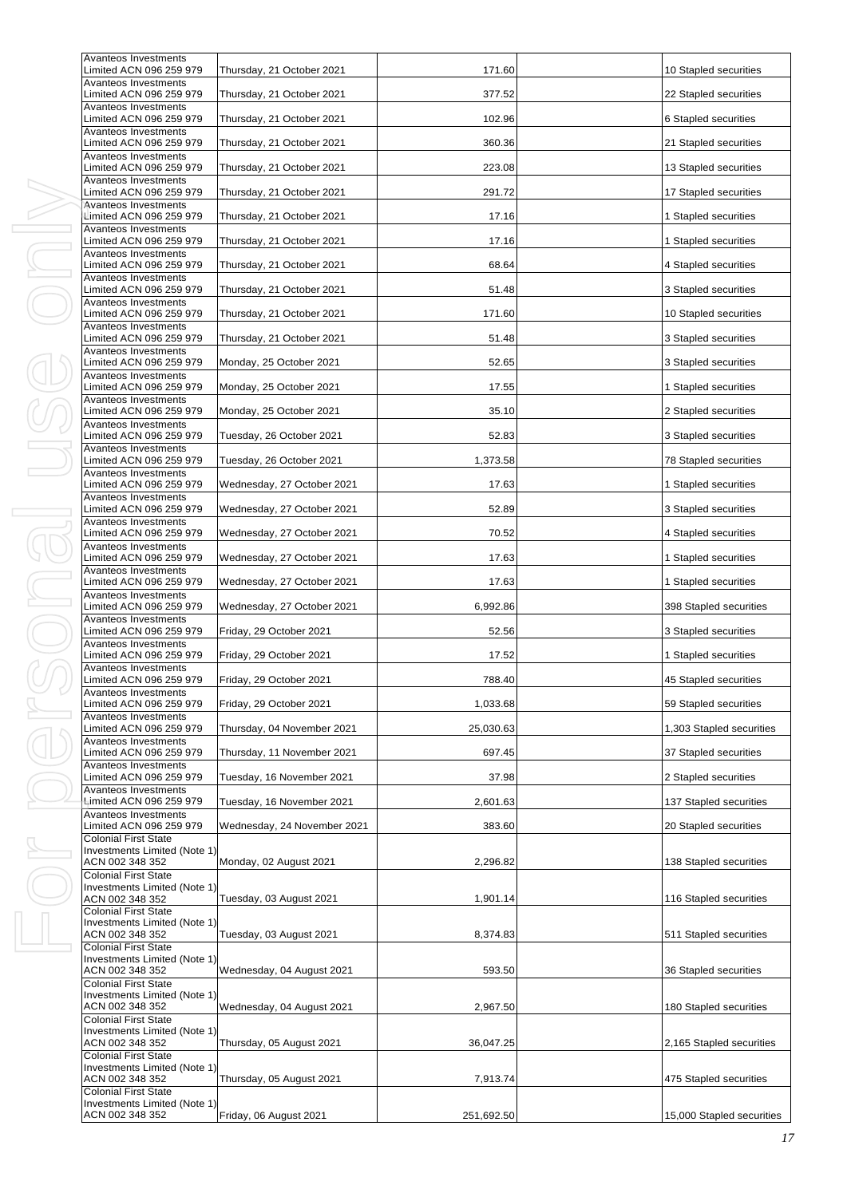| Avanteos Investments<br>Limited ACN 096 259 979                                | Thursday, 21 October 2021   | 171.60     | 10 Stapled securities        |
|--------------------------------------------------------------------------------|-----------------------------|------------|------------------------------|
| Avanteos Investments<br>Limited ACN 096 259 979                                | Thursday, 21 October 2021   | 377.52     | 22 Stapled securities        |
| Avanteos Investments<br>Limited ACN 096 259 979                                | Thursday, 21 October 2021   | 102.96     | 6 Stapled securities         |
| Avanteos Investments<br>Limited ACN 096 259 979                                | Thursday, 21 October 2021   | 360.36     | 21 Stapled securities        |
| Avanteos Investments<br>Limited ACN 096 259 979                                | Thursday, 21 October 2021   | 223.08     | 13 Stapled securities        |
| Avanteos Investments<br>Limited ACN 096 259 979                                | Thursday, 21 October 2021   | 291.72     | 17 Stapled securities        |
| Avanteos Investments<br>Limited ACN 096 259 979                                | Thursday, 21 October 2021   | 17.16      | 1 Stapled securities         |
| Avanteos Investments<br>Limited ACN 096 259 979                                | Thursday, 21 October 2021   | 17.16      | 1 Stapled securities         |
| Avanteos Investments<br>Limited ACN 096 259 979                                | Thursday, 21 October 2021   | 68.64      | 4 Stapled securities         |
| Avanteos Investments<br>Limited ACN 096 259 979                                | Thursday, 21 October 2021   | 51.48      | 3 Stapled securities         |
| Avanteos Investments<br>Limited ACN 096 259 979                                | Thursday, 21 October 2021   | 171.60     | 10 Stapled securities        |
| Avanteos Investments<br>Limited ACN 096 259 979                                | Thursday, 21 October 2021   | 51.48      | 3 Stapled securities         |
| Avanteos Investments<br>Limited ACN 096 259 979                                | Monday, 25 October 2021     | 52.65      | 3 Stapled securities         |
| Avanteos Investments<br>Limited ACN 096 259 979                                | Monday, 25 October 2021     | 17.55      | 1 Stapled securities         |
| Avanteos Investments<br>Limited ACN 096 259 979                                | Monday, 25 October 2021     | 35.10      | 2 Stapled securities         |
| Avanteos Investments<br>Limited ACN 096 259 979                                | Tuesday, 26 October 2021    | 52.83      | 3 Stapled securities         |
| Avanteos Investments<br>Limited ACN 096 259 979                                | Tuesday, 26 October 2021    | 1,373.58   | <b>78 Stapled securities</b> |
| Avanteos Investments<br>Limited ACN 096 259 979                                | Wednesday, 27 October 2021  | 17.63      | 1 Stapled securities         |
| Avanteos Investments<br>Limited ACN 096 259 979                                | Wednesday, 27 October 2021  | 52.89      | 3 Stapled securities         |
| Avanteos Investments<br>Limited ACN 096 259 979                                | Wednesday, 27 October 2021  | 70.52      | 4 Stapled securities         |
| Avanteos Investments<br>Limited ACN 096 259 979                                | Wednesday, 27 October 2021  | 17.63      | 1 Stapled securities         |
| Avanteos Investments<br>Limited ACN 096 259 979                                | Wednesday, 27 October 2021  | 17.63      | 1 Stapled securities         |
| Avanteos Investments<br>Limited ACN 096 259 979                                | Wednesday, 27 October 2021  | 6,992.86   | 398 Stapled securities       |
| Avanteos Investments<br>Limited ACN 096 259 979                                | Friday, 29 October 2021     | 52.56      | 3 Stapled securities         |
| Avanteos Investments<br>Limited ACN 096 259 979                                | Friday, 29 October 2021     | 17.52      | 1 Stapled securities         |
| Avanteos Investments<br>Limited ACN 096 259 979                                | Friday, 29 October 2021     | 788.40     | 45 Stapled securities        |
| Avanteos Investments<br>Limited ACN 096 259 979                                | Friday, 29 October 2021     | 1,033.68   | 59 Stapled securities        |
| Avanteos Investments<br>Limited ACN 096 259 979                                | Thursday, 04 November 2021  | 25,030.63  | 1,303 Stapled securities     |
| Avanteos Investments<br>Limited ACN 096 259 979                                | Thursday, 11 November 2021  | 697.45     | 37 Stapled securities        |
| Avanteos Investments<br>Limited ACN 096 259 979                                | Tuesday, 16 November 2021   | 37.98      | 2 Stapled securities         |
| Avanteos Investments<br>Limited ACN 096 259 979                                | Tuesday, 16 November 2021   | 2,601.63   | 137 Stapled securities       |
| Avanteos Investments<br>Limited ACN 096 259 979                                | Wednesday, 24 November 2021 | 383.60     | 20 Stapled securities        |
| <b>Colonial First State</b><br>Investments Limited (Note 1)                    |                             |            |                              |
| ACN 002 348 352<br>Colonial First State                                        | Monday, 02 August 2021      | 2,296.82   | 138 Stapled securities       |
| Investments Limited (Note 1)<br>ACN 002 348 352                                | Tuesday, 03 August 2021     | 1,901.14   | 116 Stapled securities       |
| <b>Colonial First State</b><br>Investments Limited (Note 1)<br>ACN 002 348 352 | Tuesday, 03 August 2021     | 8,374.83   | 511 Stapled securities       |
| <b>Colonial First State</b><br>Investments Limited (Note 1)                    |                             |            |                              |
| ACN 002 348 352<br><b>Colonial First State</b>                                 | Wednesday, 04 August 2021   | 593.50     | 36 Stapled securities        |
| Investments Limited (Note 1)<br>ACN 002 348 352                                | Wednesday, 04 August 2021   | 2,967.50   | 180 Stapled securities       |
| <b>Colonial First State</b><br>Investments Limited (Note 1)                    |                             |            |                              |
| ACN 002 348 352<br><b>Colonial First State</b>                                 | Thursday, 05 August 2021    | 36,047.25  | 2,165 Stapled securities     |
| Investments Limited (Note 1)<br>ACN 002 348 352<br><b>Colonial First State</b> | Thursday, 05 August 2021    | 7,913.74   | 475 Stapled securities       |
| Investments Limited (Note 1)<br>ACN 002 348 352                                | Friday, 06 August 2021      | 251,692.50 | 15,000 Stapled securities    |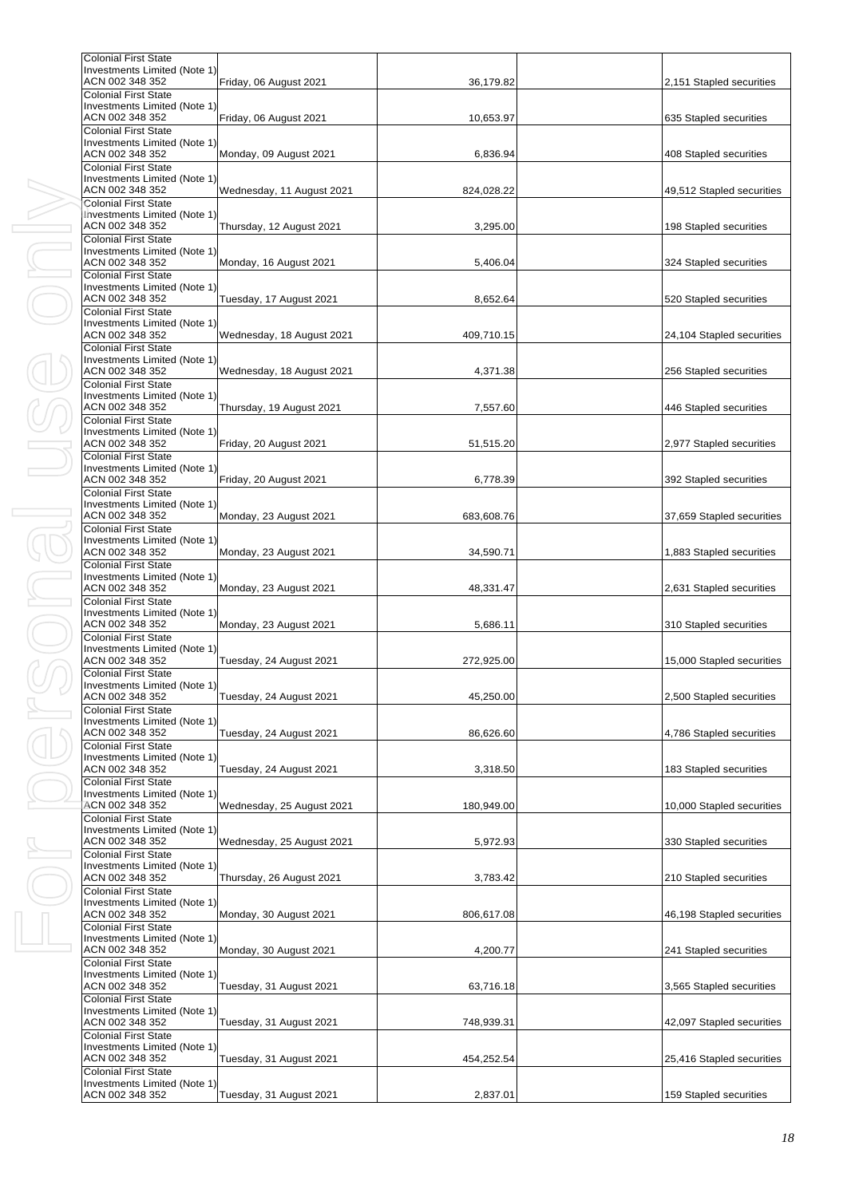| <b>Colonial First State</b><br>Investments Limited (Note 1)                                                   |                           |            |                           |
|---------------------------------------------------------------------------------------------------------------|---------------------------|------------|---------------------------|
| ACN 002 348 352                                                                                               | Friday, 06 August 2021    | 36,179.82  | 2,151 Stapled securities  |
| <b>Colonial First State</b><br>Investments Limited (Note 1)<br>ACN 002 348 352<br><b>Colonial First State</b> | Friday, 06 August 2021    | 10,653.97  | 635 Stapled securities    |
| Investments Limited (Note 1)                                                                                  |                           |            |                           |
| ACN 002 348 352<br><b>Colonial First State</b>                                                                | Monday, 09 August 2021    | 6,836.94   | 408 Stapled securities    |
| Investments Limited (Note 1)<br>ACN 002 348 352<br><b>Colonial First State</b>                                | Wednesday, 11 August 2021 | 824,028.22 | 49,512 Stapled securities |
| Investments Limited (Note 1)<br>ACN 002 348 352                                                               | Thursday, 12 August 2021  | 3,295.00   | 198 Stapled securities    |
| <b>Colonial First State</b><br>Investments Limited (Note 1)<br>ACN 002 348 352<br><b>Colonial First State</b> | Monday, 16 August 2021    | 5,406.04   | 324 Stapled securities    |
| Investments Limited (Note 1)<br>ACN 002 348 352                                                               | Tuesday, 17 August 2021   | 8,652.64   | 520 Stapled securities    |
| <b>Colonial First State</b><br>Investments Limited (Note 1)                                                   |                           |            |                           |
| ACN 002 348 352<br><b>Colonial First State</b>                                                                | Wednesday, 18 August 2021 | 409,710.15 | 24,104 Stapled securities |
| Investments Limited (Note 1)<br>ACN 002 348 352                                                               | Wednesday, 18 August 2021 | 4,371.38   | 256 Stapled securities    |
| <b>Colonial First State</b><br>Investments Limited (Note 1)<br>ACN 002 348 352<br><b>Colonial First State</b> | Thursday, 19 August 2021  | 7,557.60   | 446 Stapled securities    |
| Investments Limited (Note 1)<br>ACN 002 348 352                                                               | Friday, 20 August 2021    | 51,515.20  | 2,977 Stapled securities  |
| <b>Colonial First State</b><br>Investments Limited (Note 1)                                                   |                           |            |                           |
| ACN 002 348 352<br><b>Colonial First State</b>                                                                | Friday, 20 August 2021    | 6,778.39   | 392 Stapled securities    |
| Investments Limited (Note 1)<br>ACN 002 348 352<br><b>Colonial First State</b>                                | Monday, 23 August 2021    | 683,608.76 | 37,659 Stapled securities |
| Investments Limited (Note 1)<br>ACN 002 348 352                                                               | Monday, 23 August 2021    | 34,590.71  | 1,883 Stapled securities  |
| <b>Colonial First State</b><br>Investments Limited (Note 1)<br>ACN 002 348 352<br><b>Colonial First State</b> | Monday, 23 August 2021    | 48,331.47  | 2,631 Stapled securities  |
| Investments Limited (Note 1)<br>ACN 002 348 352                                                               | Monday, 23 August 2021    | 5,686.11   | 310 Stapled securities    |
| <b>Colonial First State</b><br>Investments Limited (Note 1)<br>ACN 002 348 352<br><b>Colonial First State</b> | Tuesday, 24 August 2021   | 272,925.00 | 15,000 Stapled securities |
| Investments Limited (Note 1)<br>ACN 002 348 352                                                               | Tuesday, 24 August 2021   | 45,250.00  | 2,500 Stapled securities  |
| <b>Colonial First State</b><br>Investments Limited (Note 1)<br>ACN 002 348 352                                | Tuesday, 24 August 2021   | 86,626.60  | 4,786 Stapled securities  |
| <b>Colonial First State</b><br>Investments Limited (Note 1)<br>ACN 002 348 352                                | Tuesday, 24 August 2021   | 3,318.50   | 183 Stapled securities    |
| <b>Colonial First State</b><br>Investments Limited (Note 1)                                                   |                           |            |                           |
| ACN 002 348 352<br><b>Colonial First State</b><br>Investments Limited (Note 1)                                | Wednesday, 25 August 2021 | 180,949.00 | 10,000 Stapled securities |
| ACN 002 348 352<br><b>Colonial First State</b>                                                                | Wednesday, 25 August 2021 | 5,972.93   | 330 Stapled securities    |
| Investments Limited (Note 1)<br>ACN 002 348 352<br><b>Colonial First State</b>                                | Thursday, 26 August 2021  | 3,783.42   | 210 Stapled securities    |
| Investments Limited (Note 1)<br>ACN 002 348 352                                                               | Monday, 30 August 2021    | 806,617.08 | 46,198 Stapled securities |
| <b>Colonial First State</b><br>Investments Limited (Note 1)<br>ACN 002 348 352                                | Monday, 30 August 2021    | 4,200.77   | 241 Stapled securities    |
| <b>Colonial First State</b><br>Investments Limited (Note 1)<br>ACN 002 348 352                                | Tuesday, 31 August 2021   | 63,716.18  | 3,565 Stapled securities  |
| <b>Colonial First State</b><br>Investments Limited (Note 1)<br>ACN 002 348 352                                | Tuesday, 31 August 2021   | 748,939.31 | 42,097 Stapled securities |
| <b>Colonial First State</b><br>Investments Limited (Note 1)                                                   |                           |            |                           |
| ACN 002 348 352<br><b>Colonial First State</b><br>Investments Limited (Note 1)                                | Tuesday, 31 August 2021   | 454,252.54 | 25,416 Stapled securities |
| ACN 002 348 352                                                                                               | Tuesday, 31 August 2021   | 2,837.01   | 159 Stapled securities    |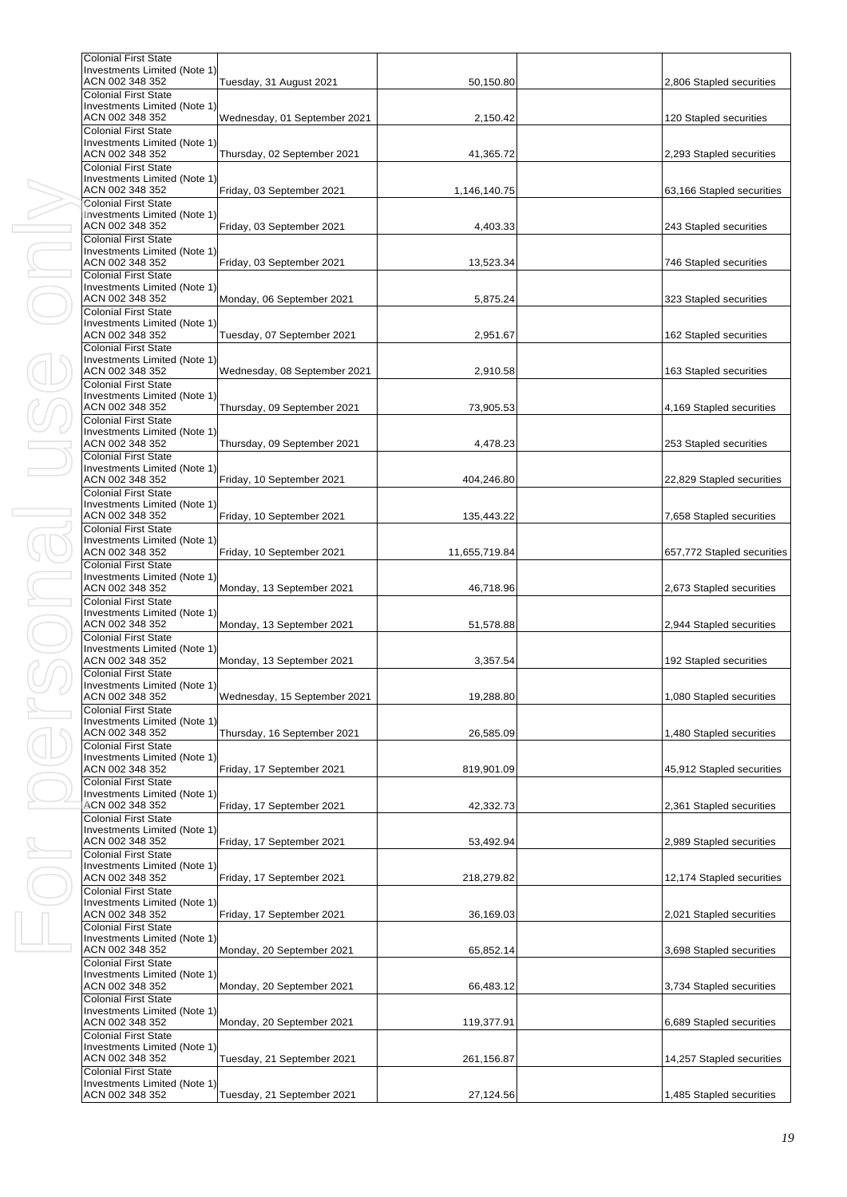|                          | <b>Colonial First State</b>                                 |                              |               |                            |
|--------------------------|-------------------------------------------------------------|------------------------------|---------------|----------------------------|
|                          | Investments Limited (Note 1)<br>ACN 002 348 352             | Tuesday, 31 August 2021      | 50,150.80     | 2,806 Stapled securities   |
|                          | <b>Colonial First State</b>                                 |                              |               |                            |
|                          | Investments Limited (Note 1)                                |                              |               |                            |
|                          | ACN 002 348 352<br><b>Colonial First State</b>              | Wednesday, 01 September 2021 | 2,150.42      | 120 Stapled securities     |
|                          | Investments Limited (Note 1)                                |                              |               |                            |
|                          | ACN 002 348 352                                             | Thursday, 02 September 2021  | 41,365.72     | 2,293 Stapled securities   |
|                          | <b>Colonial First State</b><br>Investments Limited (Note 1) |                              |               |                            |
|                          | ACN 002 348 352                                             | Friday, 03 September 2021    | 1,146,140.75  | 63,166 Stapled securities  |
|                          | <b>Colonial First State</b>                                 |                              |               |                            |
|                          | Investments Limited (Note 1)<br>ACN 002 348 352             |                              |               |                            |
|                          | <b>Colonial First State</b>                                 | Friday, 03 September 2021    | 4,403.33      | 243 Stapled securities     |
|                          | Investments Limited (Note 1)                                |                              |               |                            |
|                          | ACN 002 348 352                                             | Friday, 03 September 2021    | 13,523.34     | 746 Stapled securities     |
|                          | <b>Colonial First State</b><br>Investments Limited (Note 1) |                              |               |                            |
|                          | ACN 002 348 352                                             | Monday, 06 September 2021    | 5,875.24      | 323 Stapled securities     |
|                          | <b>Colonial First State</b>                                 |                              |               |                            |
|                          | Investments Limited (Note 1)<br>ACN 002 348 352             | Tuesday, 07 September 2021   | 2,951.67      | 162 Stapled securities     |
|                          | <b>Colonial First State</b>                                 |                              |               |                            |
|                          | Investments Limited (Note 1)                                |                              |               |                            |
|                          | ACN 002 348 352<br><b>Colonial First State</b>              | Wednesday, 08 September 2021 | 2,910.58      | 163 Stapled securities     |
|                          | Investments Limited (Note 1)                                |                              |               |                            |
|                          | ACN 002 348 352                                             | Thursday, 09 September 2021  | 73,905.53     | 4,169 Stapled securities   |
|                          | <b>Colonial First State</b><br>Investments Limited (Note 1) |                              |               |                            |
|                          | ACN 002 348 352                                             | Thursday, 09 September 2021  | 4,478.23      | 253 Stapled securities     |
|                          | <b>Colonial First State</b>                                 |                              |               |                            |
|                          | Investments Limited (Note 1)<br>ACN 002 348 352             | Friday, 10 September 2021    | 404,246.80    | 22,829 Stapled securities  |
|                          | <b>Colonial First State</b>                                 |                              |               |                            |
|                          | Investments Limited (Note 1)                                |                              |               |                            |
|                          | ACN 002 348 352<br><b>Colonial First State</b>              | Friday, 10 September 2021    | 135,443.22    | 7,658 Stapled securities   |
|                          | Investments Limited (Note 1)                                |                              |               |                            |
|                          | ACN 002 348 352                                             | Friday, 10 September 2021    | 11,655,719.84 | 657,772 Stapled securities |
|                          | <b>Colonial First State</b>                                 |                              |               |                            |
|                          | Investments Limited (Note 1)<br>ACN 002 348 352             | Monday, 13 September 2021    | 46,718.96     | 2,673 Stapled securities   |
|                          | <b>Colonial First State</b>                                 |                              |               |                            |
|                          | Investments Limited (Note 1)<br>ACN 002 348 352             |                              |               | 2,944 Stapled securities   |
|                          | <b>Colonial First State</b>                                 | Monday, 13 September 2021    | 51,578.88     |                            |
|                          | Investments Limited (Note 1)                                |                              |               |                            |
|                          | ACN 002 348 352<br><b>Colonial First State</b>              | Monday, 13 September 2021    | 3,357.54      | 192 Stapled securities     |
|                          | Investments Limited (Note 1)                                |                              |               |                            |
| $\overline{\phantom{a}}$ | ACN 002 348 352                                             | Wednesday, 15 September 2021 | 19,288.80     | 1,080 Stapled securities   |
|                          | <b>Colonial First State</b><br>Investments Limited (Note 1) |                              |               |                            |
|                          | ACN 002 348 352                                             | Thursday, 16 September 2021  | 26,585.09     | 1,480 Stapled securities   |
|                          | Colonial First State                                        |                              |               |                            |
|                          | Investments Limited (Note 1)<br>ACN 002 348 352             | Friday, 17 September 2021    | 819,901.09    | 45,912 Stapled securities  |
|                          | <b>Colonial First State</b>                                 |                              |               |                            |
|                          | Investments Limited (Note 1)                                |                              |               |                            |
|                          | ACN 002 348 352<br><b>Colonial First State</b>              | Friday, 17 September 2021    | 42,332.73     | 2,361 Stapled securities   |
|                          | Investments Limited (Note 1)                                |                              |               |                            |
|                          | ACN 002 348 352                                             | Friday, 17 September 2021    | 53,492.94     | 2,989 Stapled securities   |
|                          | <b>Colonial First State</b><br>Investments Limited (Note 1) |                              |               |                            |
|                          | ACN 002 348 352                                             | Friday, 17 September 2021    | 218,279.82    | 12,174 Stapled securities  |
|                          | <b>Colonial First State</b>                                 |                              |               |                            |
|                          | Investments Limited (Note 1)<br>ACN 002 348 352             | Friday, 17 September 2021    | 36,169.03     | 2,021 Stapled securities   |
|                          | <b>Colonial First State</b>                                 |                              |               |                            |
|                          | Investments Limited (Note 1)                                |                              |               |                            |
|                          | ACN 002 348 352<br><b>Colonial First State</b>              | Monday, 20 September 2021    | 65,852.14     | 3,698 Stapled securities   |
|                          | Investments Limited (Note 1)                                |                              |               |                            |
|                          | ACN 002 348 352                                             | Monday, 20 September 2021    | 66,483.12     | 3,734 Stapled securities   |
|                          | <b>Colonial First State</b><br>Investments Limited (Note 1) |                              |               |                            |
|                          | ACN 002 348 352                                             | Monday, 20 September 2021    | 119,377.91    | 6,689 Stapled securities   |
|                          | <b>Colonial First State</b>                                 |                              |               |                            |
|                          | Investments Limited (Note 1)<br>ACN 002 348 352             | Tuesday, 21 September 2021   | 261,156.87    | 14,257 Stapled securities  |
|                          | <b>Colonial First State</b>                                 |                              |               |                            |
|                          | Investments Limited (Note 1)                                |                              |               |                            |
|                          | ACN 002 348 352                                             | Tuesday, 21 September 2021   | 27,124.56     | 1,485 Stapled securities   |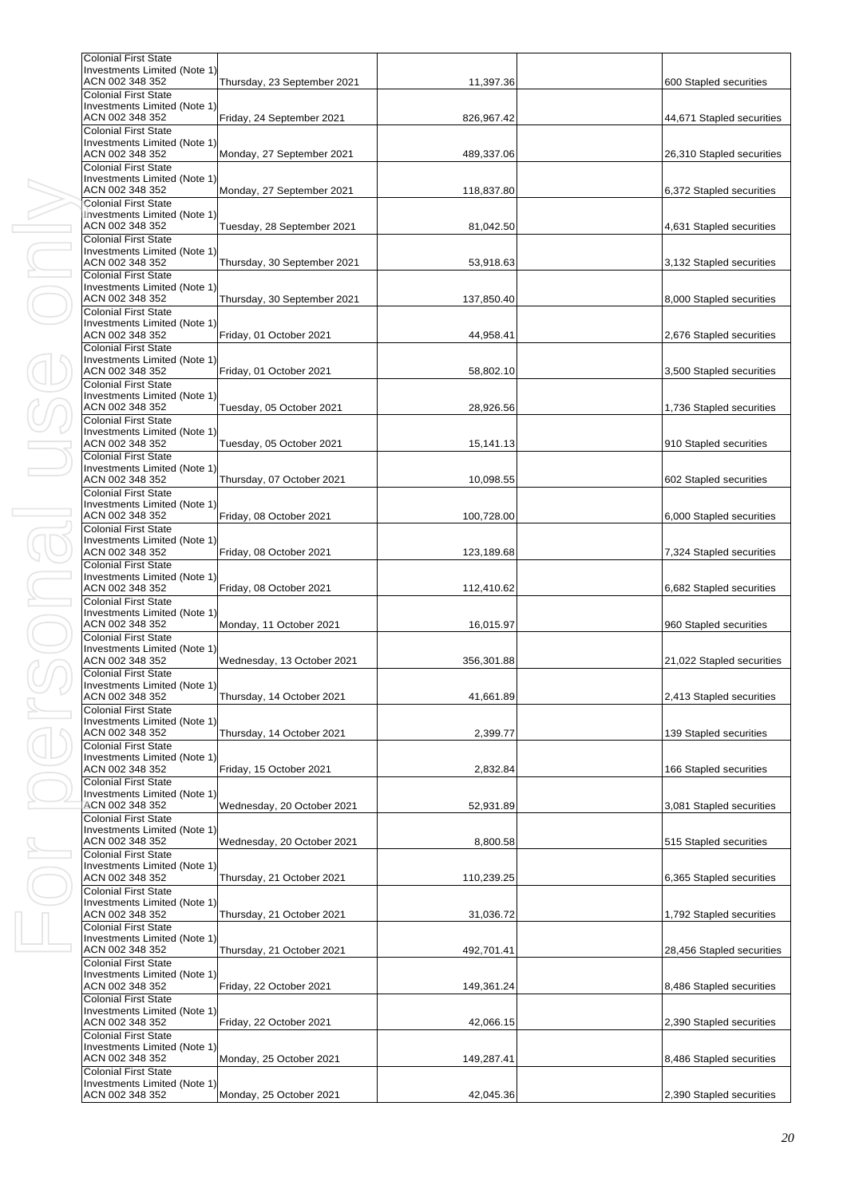| <b>Colonial First State</b><br>Investments Limited (Note 1)                                                   |                             |            |                           |
|---------------------------------------------------------------------------------------------------------------|-----------------------------|------------|---------------------------|
| ACN 002 348 352                                                                                               | Thursday, 23 September 2021 | 11,397.36  | 600 Stapled securities    |
| <b>Colonial First State</b><br>Investments Limited (Note 1)<br>ACN 002 348 352                                | Friday, 24 September 2021   | 826,967.42 | 44,671 Stapled securities |
| <b>Colonial First State</b><br>Investments Limited (Note 1)<br>ACN 002 348 352                                | Monday, 27 September 2021   | 489,337.06 | 26,310 Stapled securities |
| <b>Colonial First State</b><br>Investments Limited (Note 1)                                                   |                             |            |                           |
| ACN 002 348 352<br><b>Colonial First State</b>                                                                | Monday, 27 September 2021   | 118,837.80 | 6,372 Stapled securities  |
| Investments Limited (Note 1)<br>ACN 002 348 352                                                               | Tuesday, 28 September 2021  | 81,042.50  | 4,631 Stapled securities  |
| <b>Colonial First State</b><br>Investments Limited (Note 1)<br>ACN 002 348 352                                | Thursday, 30 September 2021 | 53,918.63  | 3,132 Stapled securities  |
| <b>Colonial First State</b><br>Investments Limited (Note 1)<br>ACN 002 348 352<br><b>Colonial First State</b> | Thursday, 30 September 2021 | 137,850.40 | 8,000 Stapled securities  |
| Investments Limited (Note 1)<br>ACN 002 348 352<br><b>Colonial First State</b>                                | Friday, 01 October 2021     | 44,958.41  | 2,676 Stapled securities  |
| Investments Limited (Note 1)<br>ACN 002 348 352                                                               | Friday, 01 October 2021     | 58,802.10  | 3,500 Stapled securities  |
| <b>Colonial First State</b><br>Investments Limited (Note 1)<br>ACN 002 348 352                                | Tuesday, 05 October 2021    | 28,926.56  | 1,736 Stapled securities  |
| <b>Colonial First State</b><br>Investments Limited (Note 1)<br>ACN 002 348 352                                |                             |            |                           |
| <b>Colonial First State</b><br>Investments Limited (Note 1)                                                   | Tuesday, 05 October 2021    | 15,141.13  | 910 Stapled securities    |
| ACN 002 348 352<br><b>Colonial First State</b>                                                                | Thursday, 07 October 2021   | 10,098.55  | 602 Stapled securities    |
| Investments Limited (Note 1)<br>ACN 002 348 352<br><b>Colonial First State</b>                                | Friday, 08 October 2021     | 100,728.00 | 6,000 Stapled securities  |
| Investments Limited (Note 1)<br>ACN 002 348 352                                                               | Friday, 08 October 2021     | 123,189.68 | 7,324 Stapled securities  |
| <b>Colonial First State</b><br>Investments Limited (Note 1)<br>ACN 002 348 352<br><b>Colonial First State</b> | Friday, 08 October 2021     | 112,410.62 | 6,682 Stapled securities  |
| Investments Limited (Note 1)<br>ACN 002 348 352<br><b>Colonial First State</b>                                | Monday, 11 October 2021     | 16,015.97  | 960 Stapled securities    |
| Investments Limited (Note 1)<br>ACN 002 348 352<br><b>Colonial First State</b>                                | Wednesday, 13 October 2021  | 356,301.88 | 21,022 Stapled securities |
| Investments Limited (Note 1)<br>ACN 002 348 352                                                               | Thursday, 14 October 2021   | 41,661.89  | 2,413 Stapled securities  |
| <b>Colonial First State</b><br>Investments Limited (Note 1)<br>ACN 002 348 352                                | Thursday, 14 October 2021   | 2,399.77   | 139 Stapled securities    |
| <b>Colonial First State</b><br>Investments Limited (Note 1)<br>ACN 002 348 352                                | Friday, 15 October 2021     | 2,832.84   | 166 Stapled securities    |
| <b>Colonial First State</b><br>Investments Limited (Note 1)<br>ACN 002 348 352                                | Wednesday, 20 October 2021  | 52,931.89  | 3,081 Stapled securities  |
| <b>Colonial First State</b><br>Investments Limited (Note 1)                                                   |                             |            |                           |
| ACN 002 348 352<br><b>Colonial First State</b><br>Investments Limited (Note 1)                                | Wednesday, 20 October 2021  | 8,800.58   | 515 Stapled securities    |
| ACN 002 348 352<br><b>Colonial First State</b>                                                                | Thursday, 21 October 2021   | 110,239.25 | 6,365 Stapled securities  |
| Investments Limited (Note 1)<br>ACN 002 348 352                                                               | Thursday, 21 October 2021   | 31,036.72  | 1,792 Stapled securities  |
| <b>Colonial First State</b><br>Investments Limited (Note 1)<br>ACN 002 348 352                                | Thursday, 21 October 2021   | 492,701.41 | 28,456 Stapled securities |
| <b>Colonial First State</b><br>Investments Limited (Note 1)<br>ACN 002 348 352                                | Friday, 22 October 2021     | 149,361.24 | 8,486 Stapled securities  |
| <b>Colonial First State</b><br>Investments Limited (Note 1)                                                   |                             |            |                           |
| ACN 002 348 352<br><b>Colonial First State</b>                                                                | Friday, 22 October 2021     | 42,066.15  | 2,390 Stapled securities  |
| Investments Limited (Note 1)<br>ACN 002 348 352<br><b>Colonial First State</b>                                | Monday, 25 October 2021     | 149,287.41 | 8,486 Stapled securities  |
| Investments Limited (Note 1)<br>ACN 002 348 352                                                               | Monday, 25 October 2021     | 42,045.36  | 2,390 Stapled securities  |